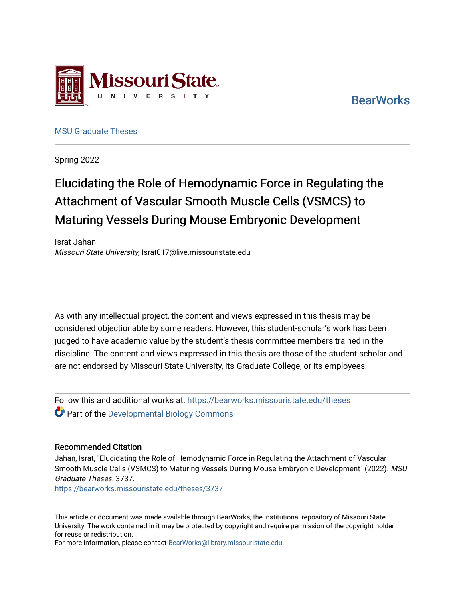

**BearWorks** 

[MSU Graduate Theses](https://bearworks.missouristate.edu/theses) 

Spring 2022

## Elucidating the Role of Hemodynamic Force in Regulating the Attachment of Vascular Smooth Muscle Cells (VSMCS) to Maturing Vessels During Mouse Embryonic Development

Israt Jahan Missouri State University, Israt017@live.missouristate.edu

As with any intellectual project, the content and views expressed in this thesis may be considered objectionable by some readers. However, this student-scholar's work has been judged to have academic value by the student's thesis committee members trained in the discipline. The content and views expressed in this thesis are those of the student-scholar and are not endorsed by Missouri State University, its Graduate College, or its employees.

Follow this and additional works at: [https://bearworks.missouristate.edu/theses](https://bearworks.missouristate.edu/theses?utm_source=bearworks.missouristate.edu%2Ftheses%2F3737&utm_medium=PDF&utm_campaign=PDFCoverPages)  **Part of the Developmental Biology Commons** 

#### Recommended Citation

Jahan, Israt, "Elucidating the Role of Hemodynamic Force in Regulating the Attachment of Vascular Smooth Muscle Cells (VSMCS) to Maturing Vessels During Mouse Embryonic Development" (2022). MSU Graduate Theses. 3737.

[https://bearworks.missouristate.edu/theses/3737](https://bearworks.missouristate.edu/theses/3737?utm_source=bearworks.missouristate.edu%2Ftheses%2F3737&utm_medium=PDF&utm_campaign=PDFCoverPages) 

This article or document was made available through BearWorks, the institutional repository of Missouri State University. The work contained in it may be protected by copyright and require permission of the copyright holder for reuse or redistribution.

For more information, please contact [BearWorks@library.missouristate.edu.](mailto:BearWorks@library.missouristate.edu)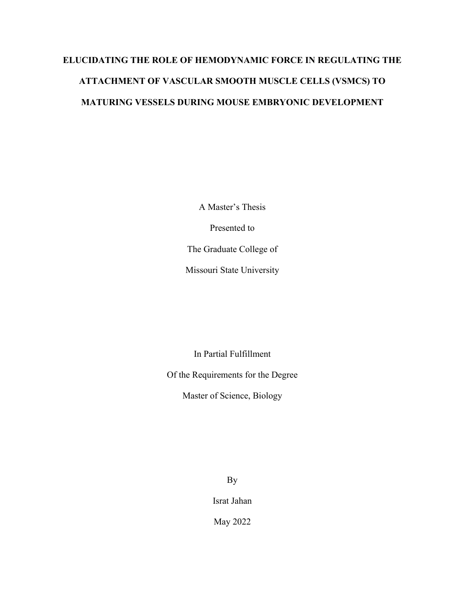# **ELUCIDATING THE ROLE OF HEMODYNAMIC FORCE IN REGULATING THE ATTACHMENT OF VASCULAR SMOOTH MUSCLE CELLS (VSMCS) TO MATURING VESSELS DURING MOUSE EMBRYONIC DEVELOPMENT**

A Master's Thesis Presented to The Graduate College of Missouri State University

In Partial Fulfillment

Of the Requirements for the Degree

Master of Science, Biology

By

Israt Jahan

May 2022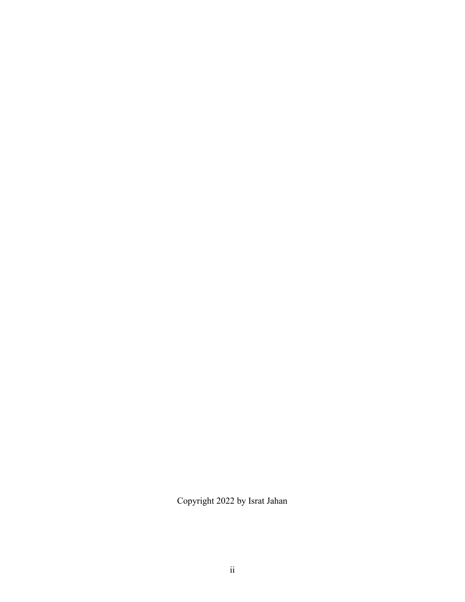Copyright 2022 by Israt Jahan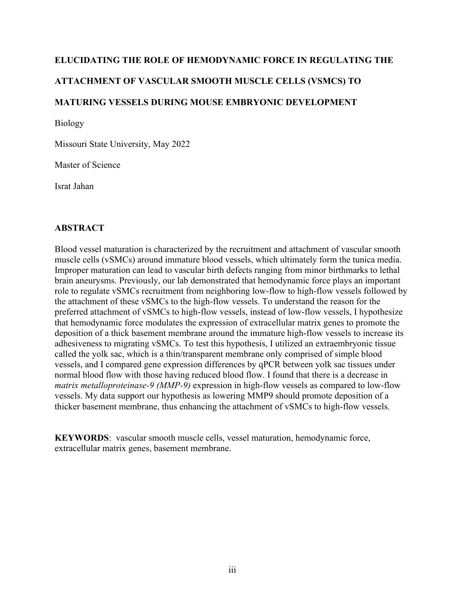## **ELUCIDATING THE ROLE OF HEMODYNAMIC FORCE IN REGULATING THE ATTACHMENT OF VASCULAR SMOOTH MUSCLE CELLS (VSMCS) TO MATURING VESSELS DURING MOUSE EMBRYONIC DEVELOPMENT**

Biology

Missouri State University, May 2022

Master of Science

Israt Jahan

### **ABSTRACT**

Blood vessel maturation is characterized by the recruitment and attachment of vascular smooth muscle cells (vSMCs) around immature blood vessels, which ultimately form the tunica media. Improper maturation can lead to vascular birth defects ranging from minor birthmarks to lethal brain aneurysms. Previously, our lab demonstrated that hemodynamic force plays an important role to regulate vSMCs recruitment from neighboring low-flow to high-flow vessels followed by the attachment of these vSMCs to the high-flow vessels. To understand the reason for the preferred attachment of vSMCs to high-flow vessels, instead of low-flow vessels, I hypothesize that hemodynamic force modulates the expression of extracellular matrix genes to promote the deposition of a thick basement membrane around the immature high-flow vessels to increase its adhesiveness to migrating vSMCs. To test this hypothesis, I utilized an extraembryonic tissue called the yolk sac, which is a thin/transparent membrane only comprised of simple blood vessels, and I compared gene expression differences by qPCR between yolk sac tissues under normal blood flow with those having reduced blood flow. I found that there is a decrease in *matrix metalloproteinase-9 (MMP-9)* expression in high-flow vessels as compared to low-flow vessels. My data support our hypothesis as lowering MMP9 should promote deposition of a thicker basement membrane, thus enhancing the attachment of vSMCs to high-flow vessels.

**KEYWORDS**: vascular smooth muscle cells, vessel maturation, hemodynamic force, extracellular matrix genes, basement membrane.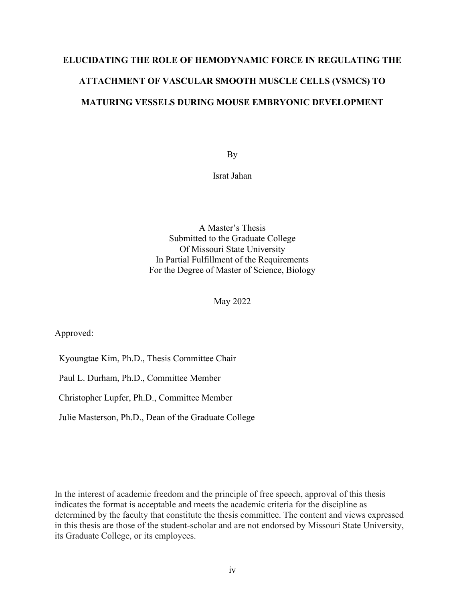# **ELUCIDATING THE ROLE OF HEMODYNAMIC FORCE IN REGULATING THE ATTACHMENT OF VASCULAR SMOOTH MUSCLE CELLS (VSMCS) TO MATURING VESSELS DURING MOUSE EMBRYONIC DEVELOPMENT**

By

Israt Jahan

A Master's Thesis Submitted to the Graduate College Of Missouri State University In Partial Fulfillment of the Requirements For the Degree of Master of Science, Biology

May 2022

Approved:

Kyoungtae Kim, Ph.D., Thesis Committee Chair

Paul L. Durham, Ph.D., Committee Member

Christopher Lupfer, Ph.D., Committee Member

Julie Masterson, Ph.D., Dean of the Graduate College

In the interest of academic freedom and the principle of free speech, approval of this thesis indicates the format is acceptable and meets the academic criteria for the discipline as determined by the faculty that constitute the thesis committee. The content and views expressed in this thesis are those of the student-scholar and are not endorsed by Missouri State University, its Graduate College, or its employees.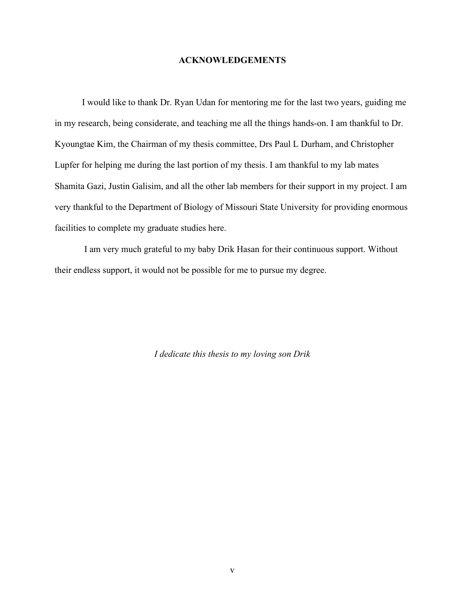#### **ACKNOWLEDGEMENTS**

I would like to thank Dr. Ryan Udan for mentoring me for the last two years, guiding me in my research, being considerate, and teaching me all the things hands-on. I am thankful to Dr. Kyoungtae Kim, the Chairman of my thesis committee, Drs Paul L Durham, and Christopher Lupfer for helping me during the last portion of my thesis. I am thankful to my lab mates Shamita Gazi, Justin Galisim, and all the other lab members for their support in my project. I am very thankful to the Department of Biology of Missouri State University for providing enormous facilities to complete my graduate studies here.

I am very much grateful to my baby Drik Hasan for their continuous support. Without their endless support, it would not be possible for me to pursue my degree.

*I dedicate this thesis to my loving son Drik*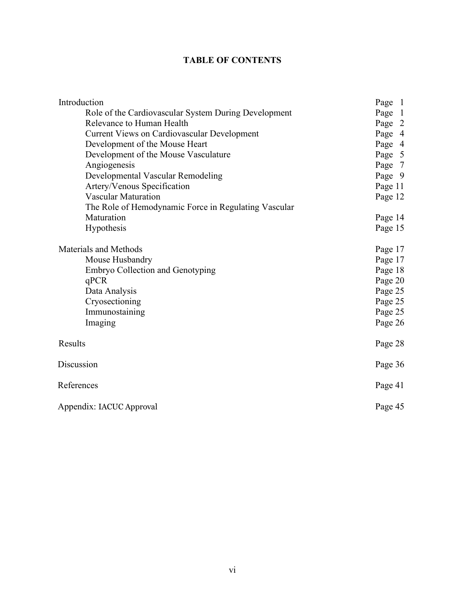## **TABLE OF CONTENTS**

| Introduction                                         | Page 1  |
|------------------------------------------------------|---------|
| Role of the Cardiovascular System During Development | Page 1  |
| Relevance to Human Health                            | Page 2  |
| Current Views on Cardiovascular Development          | Page 4  |
| Development of the Mouse Heart                       | Page 4  |
| Development of the Mouse Vasculature                 | Page 5  |
| Angiogenesis                                         | Page 7  |
| Developmental Vascular Remodeling                    | Page 9  |
| Artery/Venous Specification                          | Page 11 |
| <b>Vascular Maturation</b>                           | Page 12 |
| The Role of Hemodynamic Force in Regulating Vascular |         |
| Maturation                                           | Page 14 |
| Hypothesis                                           | Page 15 |
| <b>Materials and Methods</b>                         | Page 17 |
| Mouse Husbandry                                      | Page 17 |
| Embryo Collection and Genotyping                     | Page 18 |
| qPCR                                                 | Page 20 |
| Data Analysis                                        | Page 25 |
| Cryosectioning                                       | Page 25 |
| Immunostaining                                       | Page 25 |
| Imaging                                              | Page 26 |
| Results                                              | Page 28 |
| Discussion                                           | Page 36 |
| References                                           | Page 41 |
| Appendix: IACUC Approval                             | Page 45 |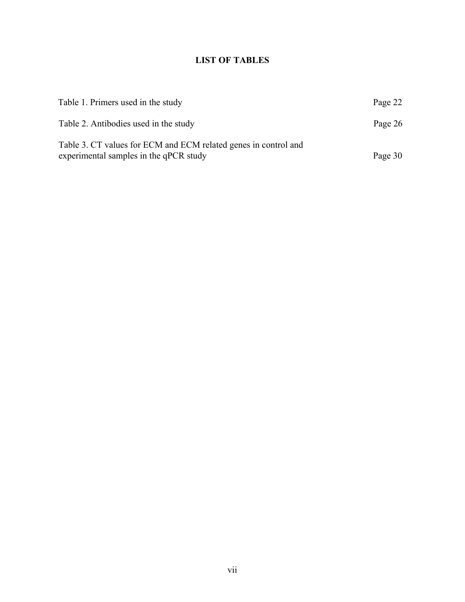## **LIST OF TABLES**

| Table 1. Primers used in the study                                                                        | Page 22 |
|-----------------------------------------------------------------------------------------------------------|---------|
| Table 2. Antibodies used in the study                                                                     | Page 26 |
| Table 3. CT values for ECM and ECM related genes in control and<br>experimental samples in the qPCR study | Page 30 |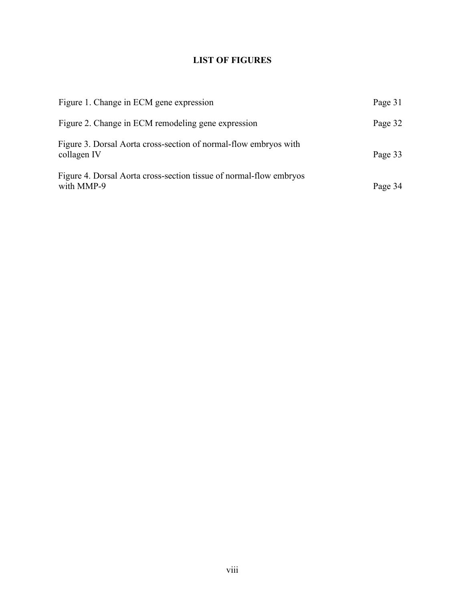## **LIST OF FIGURES**

| Figure 1. Change in ECM gene expression                                          | Page 31 |
|----------------------------------------------------------------------------------|---------|
| Figure 2. Change in ECM remodeling gene expression                               | Page 32 |
| Figure 3. Dorsal Aorta cross-section of normal-flow embryos with<br>collagen IV  | Page 33 |
| Figure 4. Dorsal Aorta cross-section tissue of normal-flow embryos<br>with MMP-9 | Page 34 |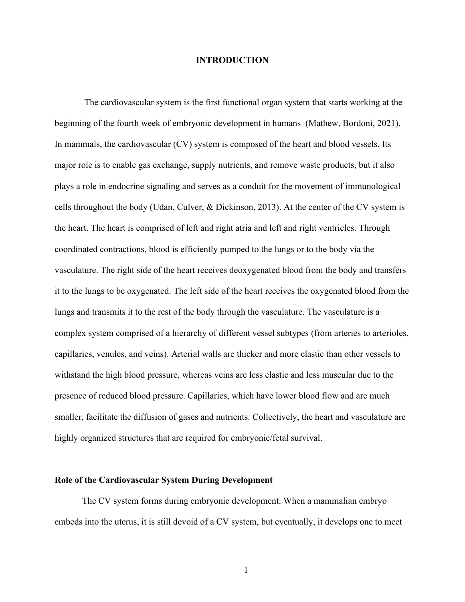#### **INTRODUCTION**

The cardiovascular system is the first functional organ system that starts working at the beginning of the fourth week of embryonic development in humans (Mathew, Bordoni, 2021). In mammals, the cardiovascular (CV) system is composed of the heart and blood vessels. Its major role is to enable gas exchange, supply nutrients, and remove waste products, but it also plays a role in endocrine signaling and serves as a conduit for the movement of immunological cells throughout the body (Udan, Culver, & Dickinson, 2013). At the center of the CV system is the heart. The heart is comprised of left and right atria and left and right ventricles. Through coordinated contractions, blood is efficiently pumped to the lungs or to the body via the vasculature. The right side of the heart receives deoxygenated blood from the body and transfers it to the lungs to be oxygenated. The left side of the heart receives the oxygenated blood from the lungs and transmits it to the rest of the body through the vasculature. The vasculature is a complex system comprised of a hierarchy of different vessel subtypes (from arteries to arterioles, capillaries, venules, and veins). Arterial walls are thicker and more elastic than other vessels to withstand the high blood pressure, whereas veins are less elastic and less muscular due to the presence of reduced blood pressure. Capillaries, which have lower blood flow and are much smaller, facilitate the diffusion of gases and nutrients. Collectively, the heart and vasculature are highly organized structures that are required for embryonic/fetal survival.

#### **Role of the Cardiovascular System During Development**

The CV system forms during embryonic development. When a mammalian embryo embeds into the uterus, it is still devoid of a CV system, but eventually, it develops one to meet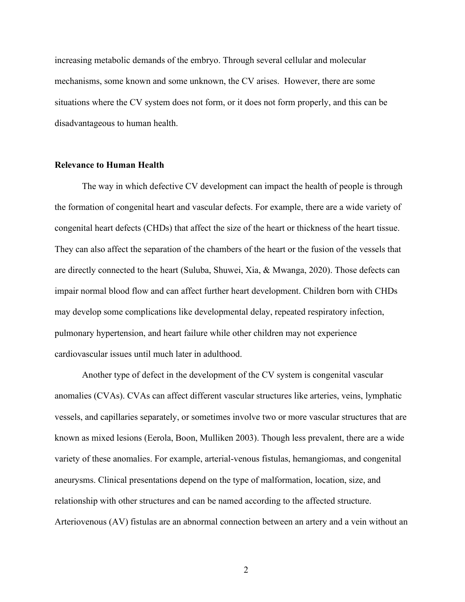increasing metabolic demands of the embryo. Through several cellular and molecular mechanisms, some known and some unknown, the CV arises. However, there are some situations where the CV system does not form, or it does not form properly, and this can be disadvantageous to human health.

#### **Relevance to Human Health**

The way in which defective CV development can impact the health of people is through the formation of congenital heart and vascular defects. For example, there are a wide variety of congenital heart defects (CHDs) that affect the size of the heart or thickness of the heart tissue. They can also affect the separation of the chambers of the heart or the fusion of the vessels that are directly connected to the heart (Suluba, Shuwei, Xia, & Mwanga, 2020). Those defects can impair normal blood flow and can affect further heart development. Children born with CHDs may develop some complications like developmental delay, repeated respiratory infection, pulmonary hypertension, and heart failure while other children may not experience cardiovascular issues until much later in adulthood.

Another type of defect in the development of the CV system is congenital vascular anomalies (CVAs). CVAs can affect different vascular structures like arteries, veins, lymphatic vessels, and capillaries separately, or sometimes involve two or more vascular structures that are known as mixed lesions (Eerola, Boon, Mulliken 2003). Though less prevalent, there are a wide variety of these anomalies. For example, arterial-venous fistulas, hemangiomas, and congenital aneurysms. Clinical presentations depend on the type of malformation, location, size, and relationship with other structures and can be named according to the affected structure. Arteriovenous (AV) fistulas are an abnormal connection between an artery and a vein without an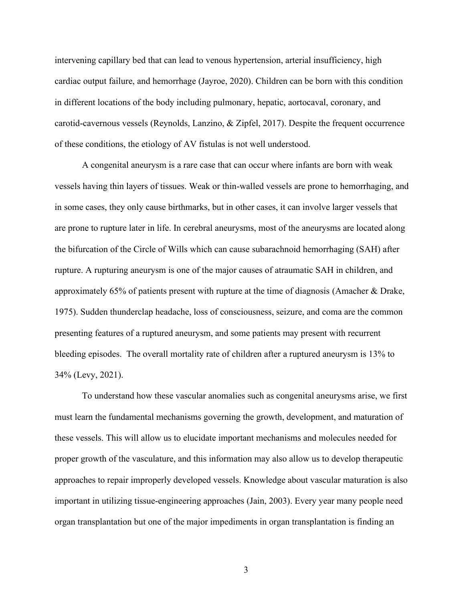intervening capillary bed that can lead to venous hypertension, arterial insufficiency, high cardiac output failure, and hemorrhage (Jayroe, 2020). Children can be born with this condition in different locations of the body including pulmonary, hepatic, aortocaval, coronary, and carotid-cavernous vessels (Reynolds, Lanzino, & Zipfel, 2017). Despite the frequent occurrence of these conditions, the etiology of AV fistulas is not well understood.

A congenital aneurysm is a rare case that can occur where infants are born with weak vessels having thin layers of tissues. Weak or thin-walled vessels are prone to hemorrhaging, and in some cases, they only cause birthmarks, but in other cases, it can involve larger vessels that are prone to rupture later in life. In cerebral aneurysms, most of the aneurysms are located along the bifurcation of the Circle of Wills which can cause subarachnoid hemorrhaging (SAH) after rupture. A rupturing aneurysm is one of the major causes of atraumatic SAH in children, and approximately 65% of patients present with rupture at the time of diagnosis (Amacher & Drake, 1975). Sudden thunderclap headache, loss of consciousness, seizure, and coma are the common presenting features of a ruptured aneurysm, and some patients may present with recurrent bleeding episodes. The overall mortality rate of children after a ruptured aneurysm is 13% to 34% (Levy, 2021).

To understand how these vascular anomalies such as congenital aneurysms arise, we first must learn the fundamental mechanisms governing the growth, development, and maturation of these vessels. This will allow us to elucidate important mechanisms and molecules needed for proper growth of the vasculature, and this information may also allow us to develop therapeutic approaches to repair improperly developed vessels. Knowledge about vascular maturation is also important in utilizing tissue-engineering approaches (Jain, 2003). Every year many people need organ transplantation but one of the major impediments in organ transplantation is finding an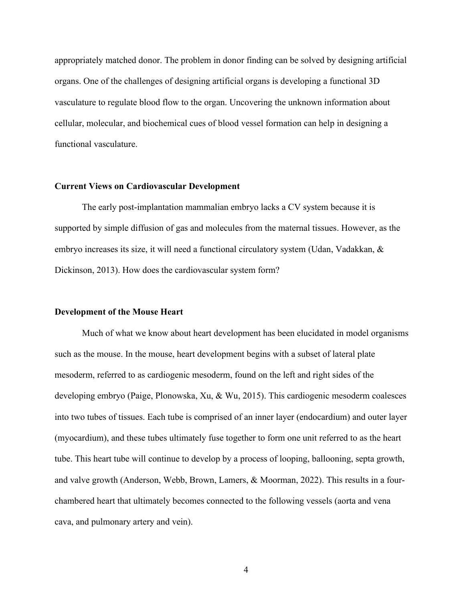appropriately matched donor. The problem in donor finding can be solved by designing artificial organs. One of the challenges of designing artificial organs is developing a functional 3D vasculature to regulate blood flow to the organ. Uncovering the unknown information about cellular, molecular, and biochemical cues of blood vessel formation can help in designing a functional vasculature.

#### **Current Views on Cardiovascular Development**

The early post-implantation mammalian embryo lacks a CV system because it is supported by simple diffusion of gas and molecules from the maternal tissues. However, as the embryo increases its size, it will need a functional circulatory system (Udan, Vadakkan, & Dickinson, 2013). How does the cardiovascular system form?

#### **Development of the Mouse Heart**

Much of what we know about heart development has been elucidated in model organisms such as the mouse. In the mouse, heart development begins with a subset of lateral plate mesoderm, referred to as cardiogenic mesoderm, found on the left and right sides of the developing embryo (Paige, Plonowska, Xu, & Wu, 2015). This cardiogenic mesoderm coalesces into two tubes of tissues. Each tube is comprised of an inner layer (endocardium) and outer layer (myocardium), and these tubes ultimately fuse together to form one unit referred to as the heart tube. This heart tube will continue to develop by a process of looping, ballooning, septa growth, and valve growth (Anderson, Webb, Brown, Lamers, & Moorman, 2022). This results in a fourchambered heart that ultimately becomes connected to the following vessels (aorta and vena cava, and pulmonary artery and vein).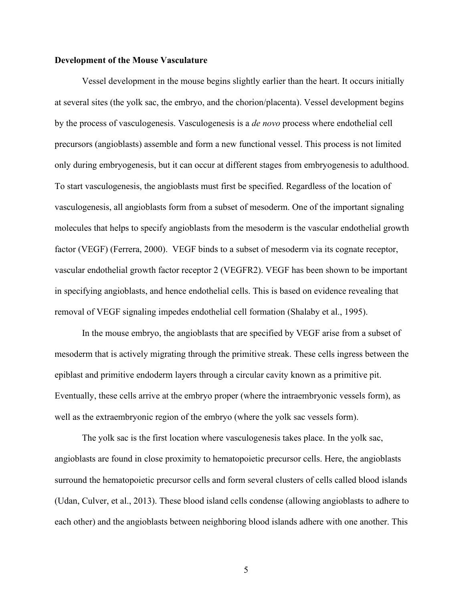#### **Development of the Mouse Vasculature**

Vessel development in the mouse begins slightly earlier than the heart. It occurs initially at several sites (the yolk sac, the embryo, and the chorion/placenta). Vessel development begins by the process of vasculogenesis. Vasculogenesis is a *de novo* process where endothelial cell precursors (angioblasts) assemble and form a new functional vessel. This process is not limited only during embryogenesis, but it can occur at different stages from embryogenesis to adulthood. To start vasculogenesis, the angioblasts must first be specified. Regardless of the location of vasculogenesis, all angioblasts form from a subset of mesoderm. One of the important signaling molecules that helps to specify angioblasts from the mesoderm is the vascular endothelial growth factor (VEGF) (Ferrera, 2000). VEGF binds to a subset of mesoderm via its cognate receptor, vascular endothelial growth factor receptor 2 (VEGFR2). VEGF has been shown to be important in specifying angioblasts, and hence endothelial cells. This is based on evidence revealing that removal of VEGF signaling impedes endothelial cell formation (Shalaby et al., 1995).

In the mouse embryo, the angioblasts that are specified by VEGF arise from a subset of mesoderm that is actively migrating through the primitive streak. These cells ingress between the epiblast and primitive endoderm layers through a circular cavity known as a primitive pit. Eventually, these cells arrive at the embryo proper (where the intraembryonic vessels form), as well as the extraembryonic region of the embryo (where the yolk sac vessels form).

The yolk sac is the first location where vasculogenesis takes place. In the yolk sac, angioblasts are found in close proximity to hematopoietic precursor cells. Here, the angioblasts surround the hematopoietic precursor cells and form several clusters of cells called blood islands (Udan, Culver, et al., 2013). These blood island cells condense (allowing angioblasts to adhere to each other) and the angioblasts between neighboring blood islands adhere with one another. This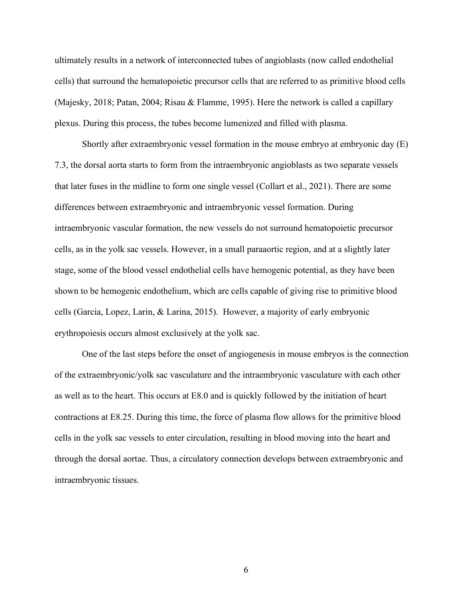ultimately results in a network of interconnected tubes of angioblasts (now called endothelial cells) that surround the hematopoietic precursor cells that are referred to as primitive blood cells (Majesky, 2018; Patan, 2004; Risau & Flamme, 1995). Here the network is called a capillary plexus. During this process, the tubes become lumenized and filled with plasma.

Shortly after extraembryonic vessel formation in the mouse embryo at embryonic day (E) 7.3, the dorsal aorta starts to form from the intraembryonic angioblasts as two separate vessels that later fuses in the midline to form one single vessel (Collart et al., 2021). There are some differences between extraembryonic and intraembryonic vessel formation. During intraembryonic vascular formation, the new vessels do not surround hematopoietic precursor cells, as in the yolk sac vessels. However, in a small paraaortic region, and at a slightly later stage, some of the blood vessel endothelial cells have hemogenic potential, as they have been shown to be hemogenic endothelium, which are cells capable of giving rise to primitive blood cells (Garcia, Lopez, Larin, & Larina, 2015). However, a majority of early embryonic erythropoiesis occurs almost exclusively at the yolk sac.

One of the last steps before the onset of angiogenesis in mouse embryos is the connection of the extraembryonic/yolk sac vasculature and the intraembryonic vasculature with each other as well as to the heart. This occurs at E8.0 and is quickly followed by the initiation of heart contractions at E8.25. During this time, the force of plasma flow allows for the primitive blood cells in the yolk sac vessels to enter circulation, resulting in blood moving into the heart and through the dorsal aortae. Thus, a circulatory connection develops between extraembryonic and intraembryonic tissues.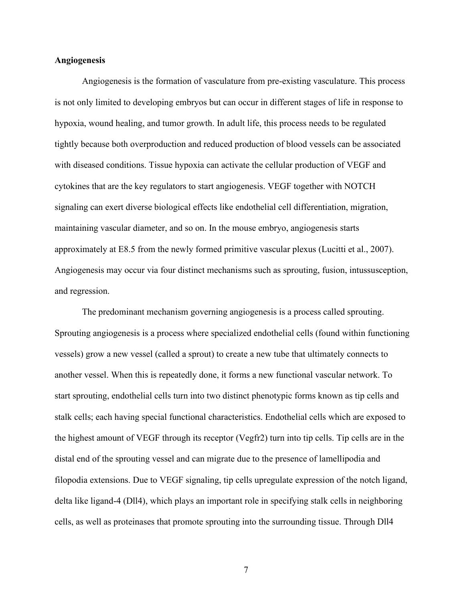#### **Angiogenesis**

Angiogenesis is the formation of vasculature from pre-existing vasculature. This process is not only limited to developing embryos but can occur in different stages of life in response to hypoxia, wound healing, and tumor growth. In adult life, this process needs to be regulated tightly because both overproduction and reduced production of blood vessels can be associated with diseased conditions. Tissue hypoxia can activate the cellular production of VEGF and cytokines that are the key regulators to start angiogenesis. VEGF together with NOTCH signaling can exert diverse biological effects like endothelial cell differentiation, migration, maintaining vascular diameter, and so on. In the mouse embryo, angiogenesis starts approximately at E8.5 from the newly formed primitive vascular plexus (Lucitti et al., 2007). Angiogenesis may occur via four distinct mechanisms such as sprouting, fusion, intussusception, and regression.

The predominant mechanism governing angiogenesis is a process called sprouting. Sprouting angiogenesis is a process where specialized endothelial cells (found within functioning vessels) grow a new vessel (called a sprout) to create a new tube that ultimately connects to another vessel. When this is repeatedly done, it forms a new functional vascular network. To start sprouting, endothelial cells turn into two distinct phenotypic forms known as tip cells and stalk cells; each having special functional characteristics. Endothelial cells which are exposed to the highest amount of VEGF through its receptor (Vegfr2) turn into tip cells. Tip cells are in the distal end of the sprouting vessel and can migrate due to the presence of lamellipodia and filopodia extensions. Due to VEGF signaling, tip cells upregulate expression of the notch ligand, delta like ligand-4 (Dll4), which plays an important role in specifying stalk cells in neighboring cells, as well as proteinases that promote sprouting into the surrounding tissue. Through Dll4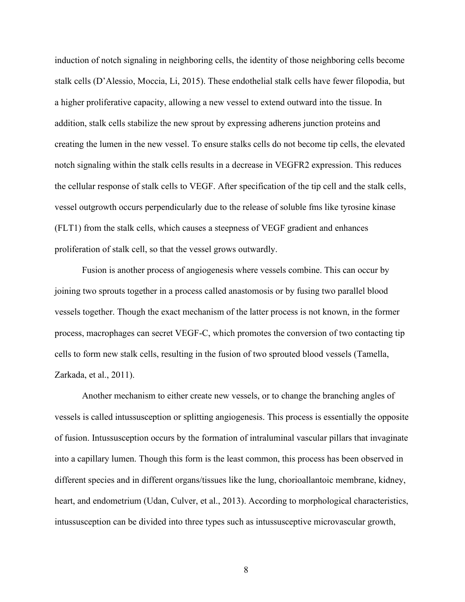induction of notch signaling in neighboring cells, the identity of those neighboring cells become stalk cells (D'Alessio, Moccia, Li, 2015). These endothelial stalk cells have fewer filopodia, but a higher proliferative capacity, allowing a new vessel to extend outward into the tissue. In addition, stalk cells stabilize the new sprout by expressing adherens junction proteins and creating the lumen in the new vessel. To ensure stalks cells do not become tip cells, the elevated notch signaling within the stalk cells results in a decrease in VEGFR2 expression. This reduces the cellular response of stalk cells to VEGF. After specification of the tip cell and the stalk cells, vessel outgrowth occurs perpendicularly due to the release of soluble fms like tyrosine kinase (FLT1) from the stalk cells, which causes a steepness of VEGF gradient and enhances proliferation of stalk cell, so that the vessel grows outwardly.

Fusion is another process of angiogenesis where vessels combine. This can occur by joining two sprouts together in a process called anastomosis or by fusing two parallel blood vessels together. Though the exact mechanism of the latter process is not known, in the former process, macrophages can secret VEGF-C, which promotes the conversion of two contacting tip cells to form new stalk cells, resulting in the fusion of two sprouted blood vessels (Tamella, Zarkada, et al., 2011).

Another mechanism to either create new vessels, or to change the branching angles of vessels is called intussusception or splitting angiogenesis. This process is essentially the opposite of fusion. Intussusception occurs by the formation of intraluminal vascular pillars that invaginate into a capillary lumen. Though this form is the least common, this process has been observed in different species and in different organs/tissues like the lung, chorioallantoic membrane, kidney, heart, and endometrium (Udan, Culver, et al., 2013). According to morphological characteristics, intussusception can be divided into three types such as intussusceptive microvascular growth,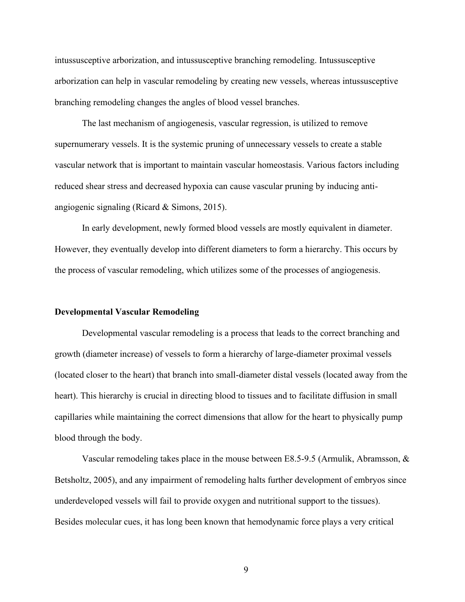intussusceptive arborization, and intussusceptive branching remodeling. Intussusceptive arborization can help in vascular remodeling by creating new vessels, whereas intussusceptive branching remodeling changes the angles of blood vessel branches.

The last mechanism of angiogenesis, vascular regression, is utilized to remove supernumerary vessels. It is the systemic pruning of unnecessary vessels to create a stable vascular network that is important to maintain vascular homeostasis. Various factors including reduced shear stress and decreased hypoxia can cause vascular pruning by inducing antiangiogenic signaling (Ricard & Simons, 2015).

In early development, newly formed blood vessels are mostly equivalent in diameter. However, they eventually develop into different diameters to form a hierarchy. This occurs by the process of vascular remodeling, which utilizes some of the processes of angiogenesis.

#### **Developmental Vascular Remodeling**

Developmental vascular remodeling is a process that leads to the correct branching and growth (diameter increase) of vessels to form a hierarchy of large-diameter proximal vessels (located closer to the heart) that branch into small-diameter distal vessels (located away from the heart). This hierarchy is crucial in directing blood to tissues and to facilitate diffusion in small capillaries while maintaining the correct dimensions that allow for the heart to physically pump blood through the body.

Vascular remodeling takes place in the mouse between E8.5-9.5 (Armulik, Abramsson,  $\&$ Betsholtz, 2005), and any impairment of remodeling halts further development of embryos since underdeveloped vessels will fail to provide oxygen and nutritional support to the tissues). Besides molecular cues, it has long been known that hemodynamic force plays a very critical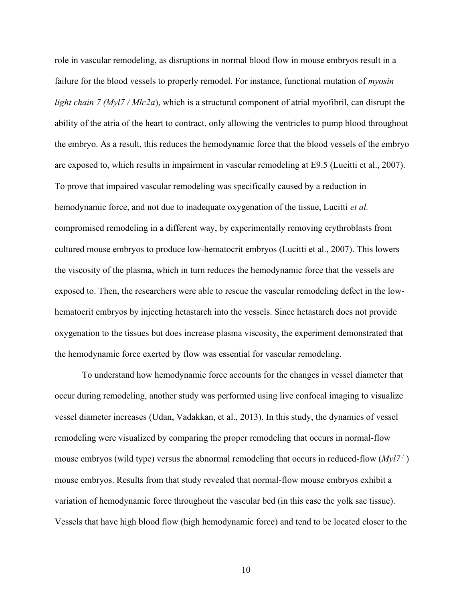role in vascular remodeling, as disruptions in normal blood flow in mouse embryos result in a failure for the blood vessels to properly remodel. For instance, functional mutation of *myosin light chain 7 (Myl7 / Mlc2a*), which is a structural component of atrial myofibril, can disrupt the ability of the atria of the heart to contract, only allowing the ventricles to pump blood throughout the embryo. As a result, this reduces the hemodynamic force that the blood vessels of the embryo are exposed to, which results in impairment in vascular remodeling at E9.5 (Lucitti et al., 2007). To prove that impaired vascular remodeling was specifically caused by a reduction in hemodynamic force, and not due to inadequate oxygenation of the tissue, Lucitti *et al.* compromised remodeling in a different way, by experimentally removing erythroblasts from cultured mouse embryos to produce low-hematocrit embryos (Lucitti et al., 2007). This lowers the viscosity of the plasma, which in turn reduces the hemodynamic force that the vessels are exposed to. Then, the researchers were able to rescue the vascular remodeling defect in the lowhematocrit embryos by injecting hetastarch into the vessels. Since hetastarch does not provide oxygenation to the tissues but does increase plasma viscosity, the experiment demonstrated that the hemodynamic force exerted by flow was essential for vascular remodeling.

To understand how hemodynamic force accounts for the changes in vessel diameter that occur during remodeling, another study was performed using live confocal imaging to visualize vessel diameter increases (Udan, Vadakkan, et al., 2013). In this study, the dynamics of vessel remodeling were visualized by comparing the proper remodeling that occurs in normal-flow mouse embryos (wild type) versus the abnormal remodeling that occurs in reduced-flow (*Myl7<sup>-/-</sup>*) mouse embryos. Results from that study revealed that normal-flow mouse embryos exhibit a variation of hemodynamic force throughout the vascular bed (in this case the yolk sac tissue). Vessels that have high blood flow (high hemodynamic force) and tend to be located closer to the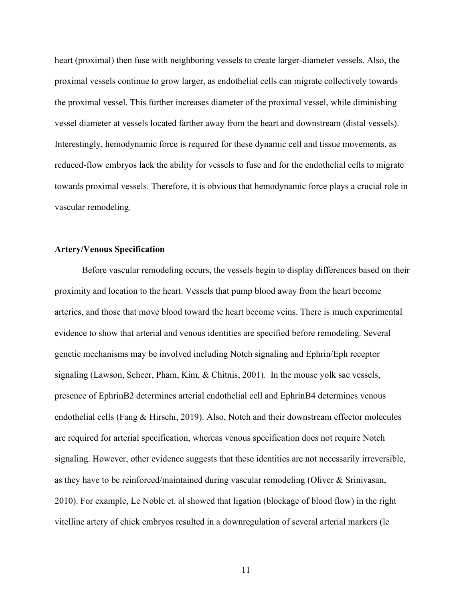heart (proximal) then fuse with neighboring vessels to create larger-diameter vessels. Also, the proximal vessels continue to grow larger, as endothelial cells can migrate collectively towards the proximal vessel. This further increases diameter of the proximal vessel, while diminishing vessel diameter at vessels located farther away from the heart and downstream (distal vessels). Interestingly, hemodynamic force is required for these dynamic cell and tissue movements, as reduced-flow embryos lack the ability for vessels to fuse and for the endothelial cells to migrate towards proximal vessels. Therefore, it is obvious that hemodynamic force plays a crucial role in vascular remodeling.

#### **Artery/Venous Specification**

Before vascular remodeling occurs, the vessels begin to display differences based on their proximity and location to the heart. Vessels that pump blood away from the heart become arteries, and those that move blood toward the heart become veins. There is much experimental evidence to show that arterial and venous identities are specified before remodeling. Several genetic mechanisms may be involved including Notch signaling and Ephrin/Eph receptor signaling (Lawson, Scheer, Pham, Kim, & Chitnis, 2001). In the mouse yolk sac vessels, presence of EphrinB2 determines arterial endothelial cell and EphrinB4 determines venous endothelial cells (Fang & Hirschi, 2019). Also, Notch and their downstream effector molecules are required for arterial specification, whereas venous specification does not require Notch signaling. However, other evidence suggests that these identities are not necessarily irreversible, as they have to be reinforced/maintained during vascular remodeling (Oliver & Srinivasan, 2010). For example, Le Noble et. al showed that ligation (blockage of blood flow) in the right vitelline artery of chick embryos resulted in a downregulation of several arterial markers (le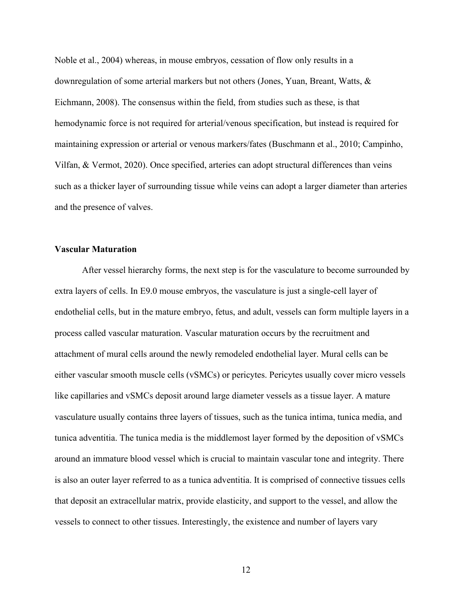Noble et al., 2004) whereas, in mouse embryos, cessation of flow only results in a downregulation of some arterial markers but not others (Jones, Yuan, Breant, Watts, & Eichmann, 2008). The consensus within the field, from studies such as these, is that hemodynamic force is not required for arterial/venous specification, but instead is required for maintaining expression or arterial or venous markers/fates (Buschmann et al., 2010; Campinho, Vilfan, & Vermot, 2020). Once specified, arteries can adopt structural differences than veins such as a thicker layer of surrounding tissue while veins can adopt a larger diameter than arteries and the presence of valves.

#### **Vascular Maturation**

After vessel hierarchy forms, the next step is for the vasculature to become surrounded by extra layers of cells. In E9.0 mouse embryos, the vasculature is just a single-cell layer of endothelial cells, but in the mature embryo, fetus, and adult, vessels can form multiple layers in a process called vascular maturation. Vascular maturation occurs by the recruitment and attachment of mural cells around the newly remodeled endothelial layer. Mural cells can be either vascular smooth muscle cells (vSMCs) or pericytes. Pericytes usually cover micro vessels like capillaries and vSMCs deposit around large diameter vessels as a tissue layer. A mature vasculature usually contains three layers of tissues, such as the tunica intima, tunica media, and tunica adventitia. The tunica media is the middlemost layer formed by the deposition of vSMCs around an immature blood vessel which is crucial to maintain vascular tone and integrity. There is also an outer layer referred to as a tunica adventitia. It is comprised of connective tissues cells that deposit an extracellular matrix, provide elasticity, and support to the vessel, and allow the vessels to connect to other tissues. Interestingly, the existence and number of layers vary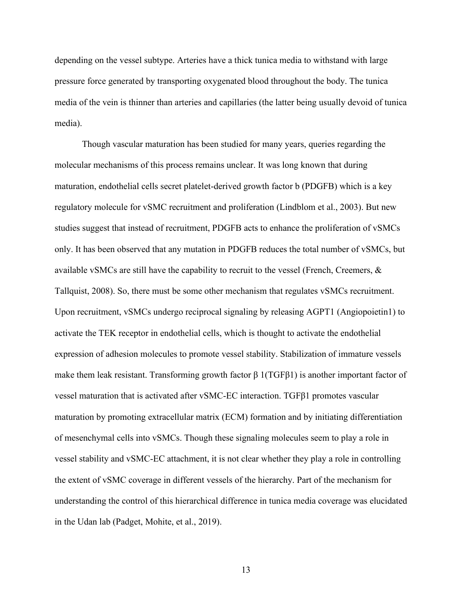depending on the vessel subtype. Arteries have a thick tunica media to withstand with large pressure force generated by transporting oxygenated blood throughout the body. The tunica media of the vein is thinner than arteries and capillaries (the latter being usually devoid of tunica media).

Though vascular maturation has been studied for many years, queries regarding the molecular mechanisms of this process remains unclear. It was long known that during maturation, endothelial cells secret platelet-derived growth factor b (PDGFB) which is a key regulatory molecule for vSMC recruitment and proliferation (Lindblom et al., 2003). But new studies suggest that instead of recruitment, PDGFB acts to enhance the proliferation of vSMCs only. It has been observed that any mutation in PDGFB reduces the total number of vSMCs, but available vSMCs are still have the capability to recruit to the vessel (French, Creemers, & Tallquist, 2008). So, there must be some other mechanism that regulates vSMCs recruitment. Upon recruitment, vSMCs undergo reciprocal signaling by releasing AGPT1 (Angiopoietin1) to activate the TEK receptor in endothelial cells, which is thought to activate the endothelial expression of adhesion molecules to promote vessel stability. Stabilization of immature vessels make them leak resistant. Transforming growth factor  $\beta$  1(TGF $\beta$ 1) is another important factor of vessel maturation that is activated after vSMC-EC interaction. TGFβ1 promotes vascular maturation by promoting extracellular matrix (ECM) formation and by initiating differentiation of mesenchymal cells into vSMCs. Though these signaling molecules seem to play a role in vessel stability and vSMC-EC attachment, it is not clear whether they play a role in controlling the extent of vSMC coverage in different vessels of the hierarchy. Part of the mechanism for understanding the control of this hierarchical difference in tunica media coverage was elucidated in the Udan lab (Padget, Mohite, et al., 2019).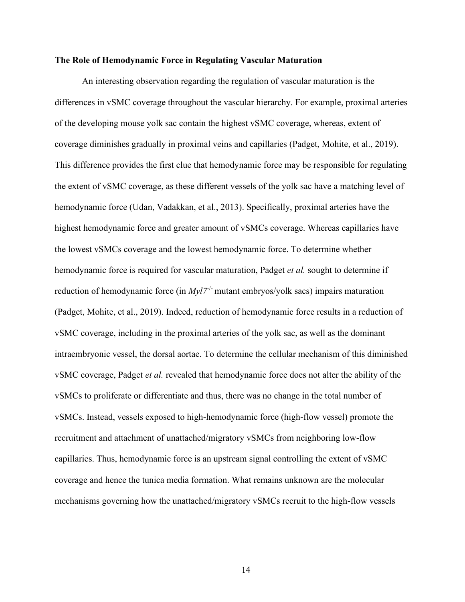#### **The Role of Hemodynamic Force in Regulating Vascular Maturation**

An interesting observation regarding the regulation of vascular maturation is the differences in vSMC coverage throughout the vascular hierarchy. For example, proximal arteries of the developing mouse yolk sac contain the highest vSMC coverage, whereas, extent of coverage diminishes gradually in proximal veins and capillaries (Padget, Mohite, et al., 2019). This difference provides the first clue that hemodynamic force may be responsible for regulating the extent of vSMC coverage, as these different vessels of the yolk sac have a matching level of hemodynamic force (Udan, Vadakkan, et al., 2013). Specifically, proximal arteries have the highest hemodynamic force and greater amount of vSMCs coverage. Whereas capillaries have the lowest vSMCs coverage and the lowest hemodynamic force. To determine whether hemodynamic force is required for vascular maturation, Padget *et al.* sought to determine if reduction of hemodynamic force (in  $Myl7^{-/-}$  mutant embryos/yolk sacs) impairs maturation (Padget, Mohite, et al., 2019). Indeed, reduction of hemodynamic force results in a reduction of vSMC coverage, including in the proximal arteries of the yolk sac, as well as the dominant intraembryonic vessel, the dorsal aortae. To determine the cellular mechanism of this diminished vSMC coverage, Padget *et al.* revealed that hemodynamic force does not alter the ability of the vSMCs to proliferate or differentiate and thus, there was no change in the total number of vSMCs. Instead, vessels exposed to high-hemodynamic force (high-flow vessel) promote the recruitment and attachment of unattached/migratory vSMCs from neighboring low-flow capillaries. Thus, hemodynamic force is an upstream signal controlling the extent of vSMC coverage and hence the tunica media formation. What remains unknown are the molecular mechanisms governing how the unattached/migratory vSMCs recruit to the high-flow vessels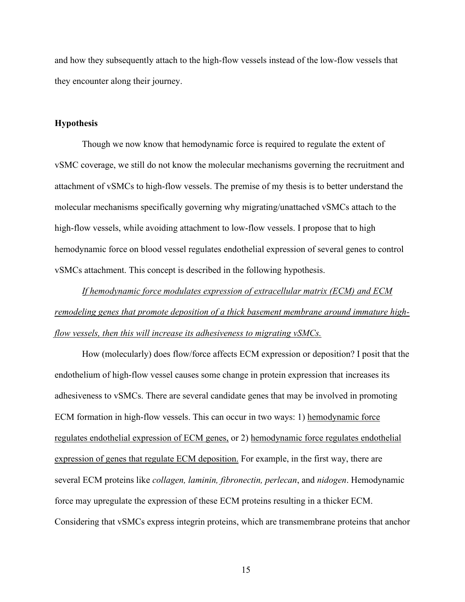and how they subsequently attach to the high-flow vessels instead of the low-flow vessels that they encounter along their journey.

#### **Hypothesis**

Though we now know that hemodynamic force is required to regulate the extent of vSMC coverage, we still do not know the molecular mechanisms governing the recruitment and attachment of vSMCs to high-flow vessels. The premise of my thesis is to better understand the molecular mechanisms specifically governing why migrating/unattached vSMCs attach to the high-flow vessels, while avoiding attachment to low-flow vessels. I propose that to high hemodynamic force on blood vessel regulates endothelial expression of several genes to control vSMCs attachment. This concept is described in the following hypothesis.

*If hemodynamic force modulates expression of extracellular matrix (ECM) and ECM remodeling genes that promote deposition of a thick basement membrane around immature highflow vessels, then this will increase its adhesiveness to migrating vSMCs.*

How (molecularly) does flow/force affects ECM expression or deposition? I posit that the endothelium of high-flow vessel causes some change in protein expression that increases its adhesiveness to vSMCs. There are several candidate genes that may be involved in promoting ECM formation in high-flow vessels. This can occur in two ways: 1) hemodynamic force regulates endothelial expression of ECM genes, or 2) hemodynamic force regulates endothelial expression of genes that regulate ECM deposition. For example, in the first way, there are several ECM proteins like *collagen, laminin, fibronectin, perlecan*, and *nidogen*. Hemodynamic force may upregulate the expression of these ECM proteins resulting in a thicker ECM. Considering that vSMCs express integrin proteins, which are transmembrane proteins that anchor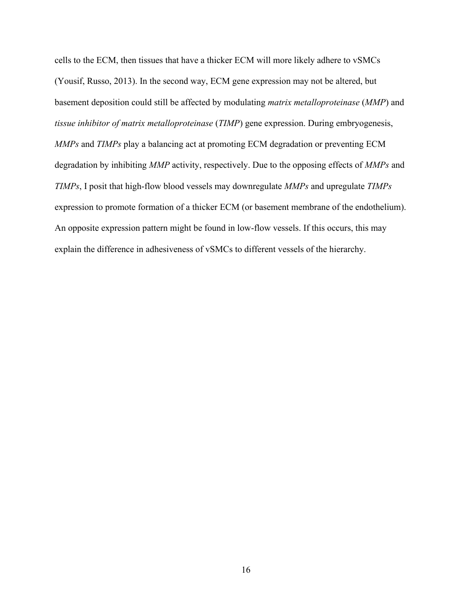cells to the ECM, then tissues that have a thicker ECM will more likely adhere to vSMCs (Yousif, Russo, 2013). In the second way, ECM gene expression may not be altered, but basement deposition could still be affected by modulating *matrix metalloproteinase* (*MMP*) and *tissue inhibitor of matrix metalloproteinase* (*TIMP*) gene expression. During embryogenesis, *MMPs* and *TIMPs* play a balancing act at promoting ECM degradation or preventing ECM degradation by inhibiting *MMP* activity, respectively. Due to the opposing effects of *MMPs* and *TIMPs*, I posit that high-flow blood vessels may downregulate *MMPs* and upregulate *TIMPs* expression to promote formation of a thicker ECM (or basement membrane of the endothelium). An opposite expression pattern might be found in low-flow vessels. If this occurs, this may explain the difference in adhesiveness of vSMCs to different vessels of the hierarchy.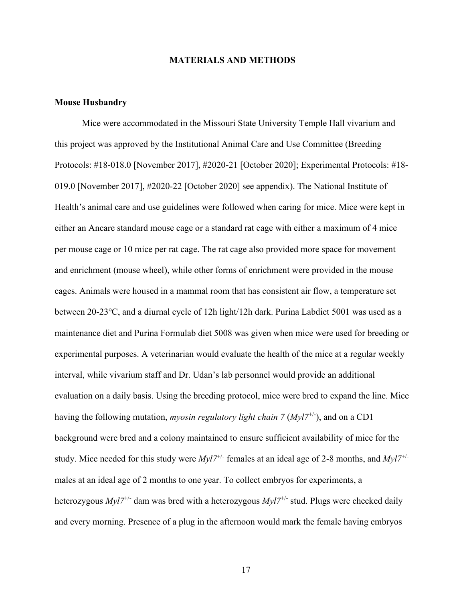#### **MATERIALS AND METHODS**

#### **Mouse Husbandry**

Mice were accommodated in the Missouri State University Temple Hall vivarium and this project was approved by the Institutional Animal Care and Use Committee (Breeding Protocols: #18-018.0 [November 2017], #2020-21 [October 2020]; Experimental Protocols: #18- 019.0 [November 2017], #2020-22 [October 2020] see appendix). The National Institute of Health's animal care and use guidelines were followed when caring for mice. Mice were kept in either an Ancare standard mouse cage or a standard rat cage with either a maximum of 4 mice per mouse cage or 10 mice per rat cage. The rat cage also provided more space for movement and enrichment (mouse wheel), while other forms of enrichment were provided in the mouse cages. Animals were housed in a mammal room that has consistent air flow, a temperature set between 20-23℃, and a diurnal cycle of 12h light/12h dark. Purina Labdiet 5001 was used as a maintenance diet and Purina Formulab diet 5008 was given when mice were used for breeding or experimental purposes. A veterinarian would evaluate the health of the mice at a regular weekly interval, while vivarium staff and Dr. Udan's lab personnel would provide an additional evaluation on a daily basis. Using the breeding protocol, mice were bred to expand the line. Mice having the following mutation, *myosin regulatory light chain 7 (Myl7<sup>+/-</sup>)*, and on a CD1 background were bred and a colony maintained to ensure sufficient availability of mice for the study. Mice needed for this study were *Myl7*+/- females at an ideal age of 2-8 months, and *Myl7*+/ males at an ideal age of 2 months to one year. To collect embryos for experiments, a heterozygous *Myl7<sup>+/-</sup>* dam was bred with a heterozygous *Myl7<sup>+/-</sup>* stud. Plugs were checked daily and every morning. Presence of a plug in the afternoon would mark the female having embryos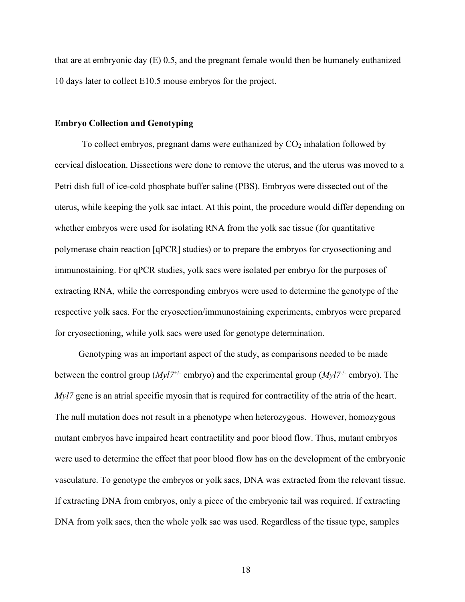that are at embryonic day (E) 0.5, and the pregnant female would then be humanely euthanized 10 days later to collect E10.5 mouse embryos for the project.

#### **Embryo Collection and Genotyping**

To collect embryos, pregnant dams were euthanized by  $CO<sub>2</sub>$  inhalation followed by cervical dislocation. Dissections were done to remove the uterus, and the uterus was moved to a Petri dish full of ice-cold phosphate buffer saline (PBS). Embryos were dissected out of the uterus, while keeping the yolk sac intact. At this point, the procedure would differ depending on whether embryos were used for isolating RNA from the yolk sac tissue (for quantitative polymerase chain reaction [qPCR] studies) or to prepare the embryos for cryosectioning and immunostaining. For qPCR studies, yolk sacs were isolated per embryo for the purposes of extracting RNA, while the corresponding embryos were used to determine the genotype of the respective yolk sacs. For the cryosection/immunostaining experiments, embryos were prepared for cryosectioning, while yolk sacs were used for genotype determination.

Genotyping was an important aspect of the study, as comparisons needed to be made between the control group (*Myl*<sup>7+/-</sup> embryo) and the experimental group (*Myl*<sup>7-/-</sup> embryo). The *Myl7* gene is an atrial specific myosin that is required for contractility of the atria of the heart. The null mutation does not result in a phenotype when heterozygous. However, homozygous mutant embryos have impaired heart contractility and poor blood flow. Thus, mutant embryos were used to determine the effect that poor blood flow has on the development of the embryonic vasculature. To genotype the embryos or yolk sacs, DNA was extracted from the relevant tissue. If extracting DNA from embryos, only a piece of the embryonic tail was required. If extracting DNA from yolk sacs, then the whole yolk sac was used. Regardless of the tissue type, samples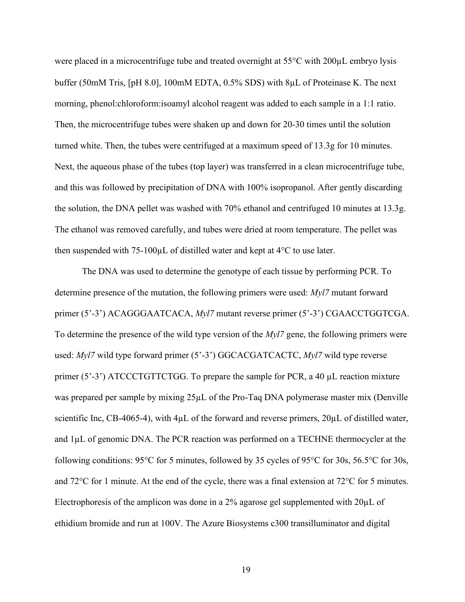were placed in a microcentrifuge tube and treated overnight at  $55^{\circ}$ C with  $200 \mu$ L embryo lysis buffer (50mM Tris, [pH 8.0], 100mM EDTA, 0.5% SDS) with 8µL of Proteinase K. The next morning, phenol:chloroform:isoamyl alcohol reagent was added to each sample in a 1:1 ratio. Then, the microcentrifuge tubes were shaken up and down for 20-30 times until the solution turned white. Then, the tubes were centrifuged at a maximum speed of 13.3g for 10 minutes. Next, the aqueous phase of the tubes (top layer) was transferred in a clean microcentrifuge tube, and this was followed by precipitation of DNA with 100% isopropanol. After gently discarding the solution, the DNA pellet was washed with 70% ethanol and centrifuged 10 minutes at 13.3g. The ethanol was removed carefully, and tubes were dried at room temperature. The pellet was then suspended with 75-100µL of distilled water and kept at 4°C to use later.

The DNA was used to determine the genotype of each tissue by performing PCR. To determine presence of the mutation, the following primers were used: *Myl7* mutant forward primer (5'-3') ACAGGGAATCACA, *Myl7* mutant reverse primer (5'-3') CGAACCTGGTCGA. To determine the presence of the wild type version of the *Myl7* gene, the following primers were used: *Myl7* wild type forward primer (5'-3') GGCACGATCACTC, *Myl7* wild type reverse primer (5'-3') ATCCCTGTTCTGG. To prepare the sample for PCR, a 40 µL reaction mixture was prepared per sample by mixing  $25\mu$ L of the Pro-Taq DNA polymerase master mix (Denville scientific Inc, CB-4065-4), with  $4\mu$ L of the forward and reverse primers,  $20\mu$ L of distilled water, and 1µL of genomic DNA. The PCR reaction was performed on a TECHNE thermocycler at the following conditions: 95°C for 5 minutes, followed by 35 cycles of 95°C for 30s, 56.5°C for 30s, and 72°C for 1 minute. At the end of the cycle, there was a final extension at 72°C for 5 minutes. Electrophoresis of the amplicon was done in a 2% agarose gel supplemented with  $20\mu$ L of ethidium bromide and run at 100V. The Azure Biosystems c300 transilluminator and digital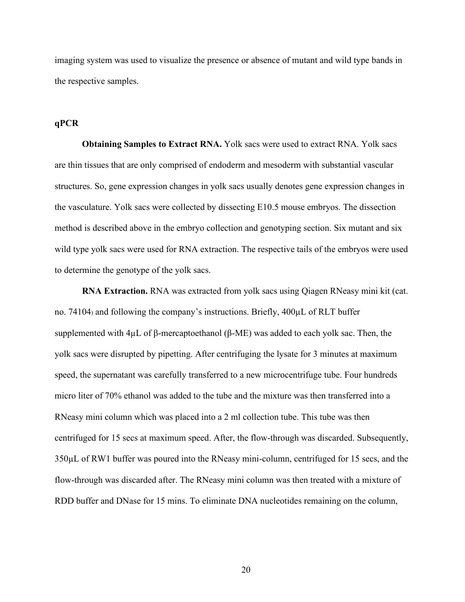imaging system was used to visualize the presence or absence of mutant and wild type bands in the respective samples.

#### **qPCR**

**Obtaining Samples to Extract RNA.** Yolk sacs were used to extract RNA. Yolk sacs are thin tissues that are only comprised of endoderm and mesoderm with substantial vascular structures. So, gene expression changes in yolk sacs usually denotes gene expression changes in the vasculature. Yolk sacs were collected by dissecting E10.5 mouse embryos. The dissection method is described above in the embryo collection and genotyping section. Six mutant and six wild type yolk sacs were used for RNA extraction. The respective tails of the embryos were used to determine the genotype of the yolk sacs.

**RNA Extraction.** RNA was extracted from yolk sacs using Qiagen RNeasy mini kit (cat. no. 74104) and following the company's instructions. Briefly, 400µL of RLT buffer supplemented with 4μL of β-mercaptoethanol (β-ME) was added to each yolk sac. Then, the yolk sacs were disrupted by pipetting. After centrifuging the lysate for 3 minutes at maximum speed, the supernatant was carefully transferred to a new microcentrifuge tube. Four hundreds micro liter of 70% ethanol was added to the tube and the mixture was then transferred into a RNeasy mini column which was placed into a 2 ml collection tube. This tube was then centrifuged for 15 secs at maximum speed. After, the flow-through was discarded. Subsequently, 350µL of RW1 buffer was poured into the RNeasy mini-column, centrifuged for 15 secs, and the flow-through was discarded after. The RNeasy mini column was then treated with a mixture of RDD buffer and DNase for 15 mins. To eliminate DNA nucleotides remaining on the column,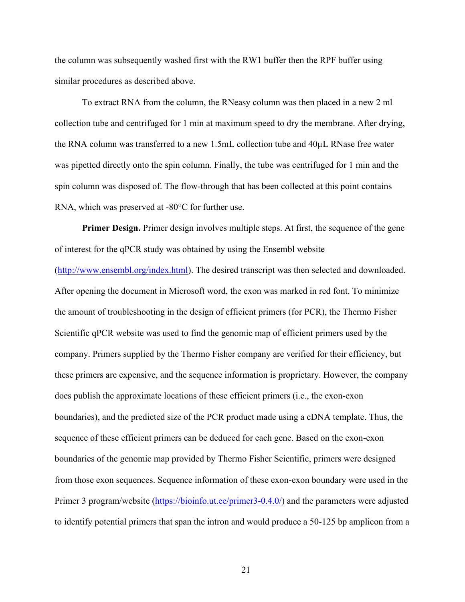the column was subsequently washed first with the RW1 buffer then the RPF buffer using similar procedures as described above.

To extract RNA from the column, the RNeasy column was then placed in a new 2 ml collection tube and centrifuged for 1 min at maximum speed to dry the membrane. After drying, the RNA column was transferred to a new 1.5mL collection tube and 40µL RNase free water was pipetted directly onto the spin column. Finally, the tube was centrifuged for 1 min and the spin column was disposed of. The flow-through that has been collected at this point contains RNA, which was preserved at -80°C for further use.

**Primer Design.** Primer design involves multiple steps. At first, the sequence of the gene of interest for the qPCR study was obtained by using the Ensembl website [\(http://www.ensembl.org/index.html\)](http://www.ensembl.org/index.html). The desired transcript was then selected and downloaded. After opening the document in Microsoft word, the exon was marked in red font. To minimize the amount of troubleshooting in the design of efficient primers (for PCR), the Thermo Fisher Scientific qPCR website was used to find the genomic map of efficient primers used by the company. Primers supplied by the Thermo Fisher company are verified for their efficiency, but these primers are expensive, and the sequence information is proprietary. However, the company does publish the approximate locations of these efficient primers (i.e., the exon-exon boundaries), and the predicted size of the PCR product made using a cDNA template. Thus, the sequence of these efficient primers can be deduced for each gene. Based on the exon-exon boundaries of the genomic map provided by Thermo Fisher Scientific, primers were designed from those exon sequences. Sequence information of these exon-exon boundary were used in the Primer 3 program/website [\(https://bioinfo.ut.ee/primer3-0.4.0/\)](https://bioinfo.ut.ee/primer3-0.4.0/) and the parameters were adjusted to identify potential primers that span the intron and would produce a 50-125 bp amplicon from a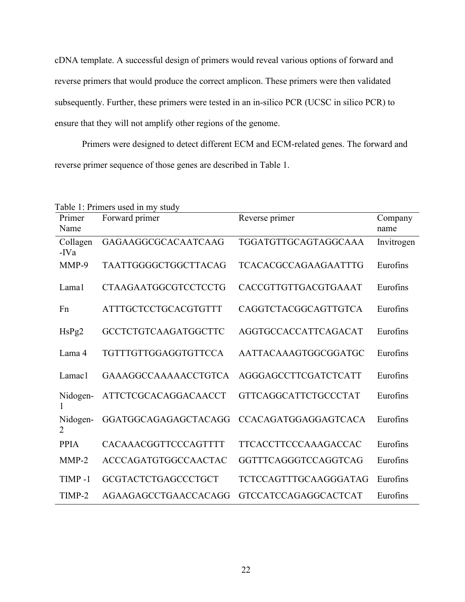cDNA template. A successful design of primers would reveal various options of forward and reverse primers that would produce the correct amplicon. These primers were then validated subsequently. Further, these primers were tested in an in-silico PCR (UCSC in silico PCR) to ensure that they will not amplify other regions of the genome.

Primers were designed to detect different ECM and ECM-related genes. The forward and reverse primer sequence of those genes are described in Table 1.

| Primer           | Table 1: Primers used in my study<br>Forward primer | Reverse primer              | Company    |
|------------------|-----------------------------------------------------|-----------------------------|------------|
| Name             |                                                     |                             | name       |
| Collagen<br>-IVa | <b>GAGAAGGCGCACAATCAAG</b>                          | TGGATGTTGCAGTAGGCAAA        | Invitrogen |
| MMP-9            | TAATTGGGGCTGGCTTACAG                                | <b>TCACACGCCAGAAGAATTTG</b> | Eurofins   |
| Lama1            | <b>CTAAGAATGGCGTCCTCCTG</b>                         | CACCGTTGTTGACGTGAAAT        | Eurofins   |
| Fn               | ATTTGCTCCTGCACGTGTTT                                | CAGGTCTACGGCAGTTGTCA        | Eurofins   |
| HsPg2            | <b>GCCTCTGTCAAGATGGCTTC</b>                         | AGGTGCCACCATTCAGACAT        | Eurofins   |
| Lama 4           | TGTTTGTTGGAGGTGTTCCA                                | AATTACAAAGTGGCGGATGC        | Eurofins   |
| Lamac1           | <b>GAAAGGCCAAAAACCTGTCA</b>                         | AGGGAGCCTTCGATCTCATT        | Eurofins   |
| Nidogen-<br>1    | ATTCTCGCACAGGACAACCT                                | <b>GTTCAGGCATTCTGCCCTAT</b> | Eurofins   |
| Nidogen-<br>2    | GGATGGCAGAGAGCTACAGG                                | <b>CCACAGATGGAGGAGTCACA</b> | Eurofins   |
| <b>PPIA</b>      | CACAAACGGTTCCCAGTTTT                                | TTCACCTTCCCAAAGACCAC        | Eurofins   |
| $MMP-2$          | <b>ACCCAGATGTGGCCAACTAC</b>                         | GGTTTCAGGGTCCAGGTCAG        | Eurofins   |
| $TIMP-1$         | GCGTACTCTGAGCCCTGCT                                 | TCTCCAGTTTGCAAGGGATAG       | Eurofins   |
| TIMP-2           | AGAAGAGCCTGAACCACAGG                                | <b>GTCCATCCAGAGGCACTCAT</b> | Eurofins   |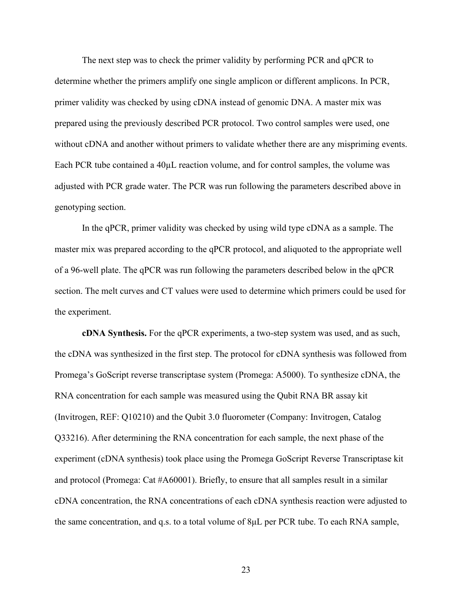The next step was to check the primer validity by performing PCR and qPCR to determine whether the primers amplify one single amplicon or different amplicons. In PCR, primer validity was checked by using cDNA instead of genomic DNA. A master mix was prepared using the previously described PCR protocol. Two control samples were used, one without cDNA and another without primers to validate whether there are any mispriming events. Each PCR tube contained a 40µL reaction volume, and for control samples, the volume was adjusted with PCR grade water. The PCR was run following the parameters described above in genotyping section.

In the qPCR, primer validity was checked by using wild type cDNA as a sample. The master mix was prepared according to the qPCR protocol, and aliquoted to the appropriate well of a 96-well plate. The qPCR was run following the parameters described below in the qPCR section. The melt curves and CT values were used to determine which primers could be used for the experiment.

**cDNA Synthesis.** For the qPCR experiments, a two-step system was used, and as such, the cDNA was synthesized in the first step. The protocol for cDNA synthesis was followed from Promega's GoScript reverse transcriptase system (Promega: A5000). To synthesize cDNA, the RNA concentration for each sample was measured using the Qubit RNA BR assay kit (Invitrogen, REF: Q10210) and the Qubit 3.0 fluorometer (Company: Invitrogen, Catalog Q33216). After determining the RNA concentration for each sample, the next phase of the experiment (cDNA synthesis) took place using the Promega GoScript Reverse Transcriptase kit and protocol (Promega: Cat #A60001). Briefly, to ensure that all samples result in a similar cDNA concentration, the RNA concentrations of each cDNA synthesis reaction were adjusted to the same concentration, and q.s. to a total volume of 8μL per PCR tube. To each RNA sample,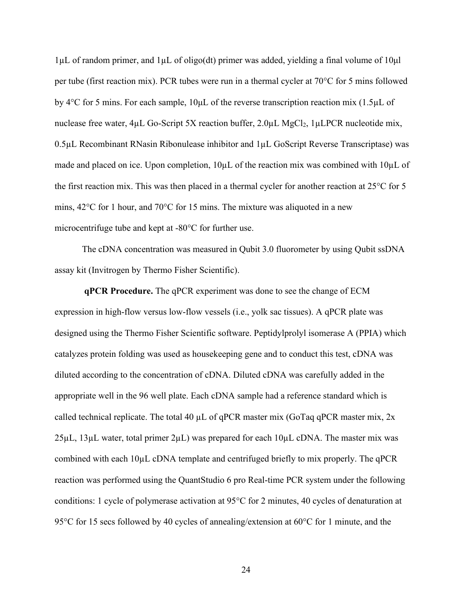1µL of random primer, and 1µL of oligo(dt) primer was added, yielding a final volume of 10μl per tube (first reaction mix). PCR tubes were run in a thermal cycler at 70°C for 5 mins followed by 4°C for 5 mins. For each sample, 10μL of the reverse transcription reaction mix (1.5µL of nuclease free water, 4µL Go-Script 5X reaction buffer, 2.0µL MgCl<sub>2</sub>, 1µLPCR nucleotide mix,  $0.5\mu$ L Recombinant RNasin Ribonulease inhibitor and  $1\mu$ L GoScript Reverse Transcriptase) was made and placed on ice. Upon completion,  $10\mu$ L of the reaction mix was combined with  $10\mu$ L of the first reaction mix. This was then placed in a thermal cycler for another reaction at 25°C for 5 mins, 42°C for 1 hour, and 70°C for 15 mins. The mixture was aliquoted in a new microcentrifuge tube and kept at -80°C for further use.

The cDNA concentration was measured in Qubit 3.0 fluorometer by using Qubit ssDNA assay kit (Invitrogen by Thermo Fisher Scientific).

**qPCR Procedure.** The qPCR experiment was done to see the change of ECM expression in high-flow versus low-flow vessels (i.e., yolk sac tissues). A qPCR plate was designed using the Thermo Fisher Scientific software. Peptidylprolyl isomerase A (PPIA) which catalyzes protein folding was used as housekeeping gene and to conduct this test, cDNA was diluted according to the concentration of cDNA. Diluted cDNA was carefully added in the appropriate well in the 96 well plate. Each cDNA sample had a reference standard which is called technical replicate. The total 40  $\mu$ L of qPCR master mix (GoTaq qPCR master mix, 2x  $25\mu$ L,  $13\mu$ L water, total primer  $2\mu$ L) was prepared for each  $10\mu$ L cDNA. The master mix was combined with each 10µL cDNA template and centrifuged briefly to mix properly. The qPCR reaction was performed using the QuantStudio 6 pro Real-time PCR system under the following conditions: 1 cycle of polymerase activation at 95°C for 2 minutes, 40 cycles of denaturation at 95<sup>o</sup>C for 15 secs followed by 40 cycles of annealing/extension at 60<sup>o</sup>C for 1 minute, and the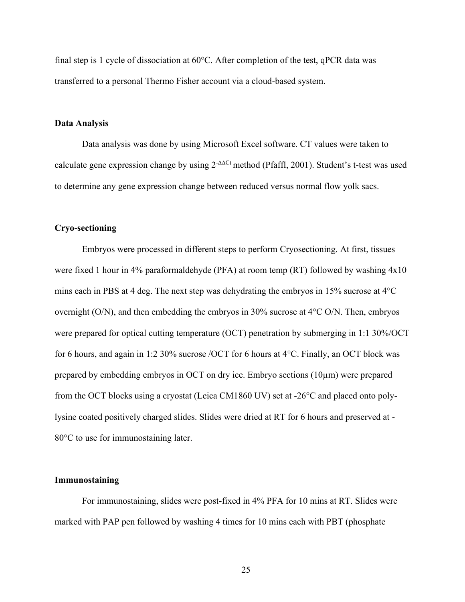final step is 1 cycle of dissociation at 60°C. After completion of the test, qPCR data was transferred to a personal Thermo Fisher account via a cloud-based system.

#### **Data Analysis**

Data analysis was done by using Microsoft Excel software. CT values were taken to calculate gene expression change by using 2-∆∆Ct method [\(Pfaffl,](javascript:;) 2001). Student's t-test was used to determine any gene expression change between reduced versus normal flow yolk sacs.

#### **Cryo-sectioning**

Embryos were processed in different steps to perform Cryosectioning. At first, tissues were fixed 1 hour in 4% paraformaldehyde (PFA) at room temp (RT) followed by washing 4x10 mins each in PBS at 4 deg. The next step was dehydrating the embryos in  $15\%$  sucrose at  $4^{\circ}C$ overnight (O/N), and then embedding the embryos in 30% sucrose at 4°C O/N. Then, embryos were prepared for optical cutting temperature (OCT) penetration by submerging in 1:1 30%/OCT for 6 hours, and again in 1:2 30% sucrose /OCT for 6 hours at 4°C. Finally, an OCT block was prepared by embedding embryos in OCT on dry ice. Embryo sections (10µm) were prepared from the OCT blocks using a cryostat (Leica CM1860 UV) set at -26°C and placed onto polylysine coated positively charged slides. Slides were dried at RT for 6 hours and preserved at - 80°C to use for immunostaining later.

#### **Immunostaining**

For immunostaining, slides were post-fixed in 4% PFA for 10 mins at RT. Slides were marked with PAP pen followed by washing 4 times for 10 mins each with PBT (phosphate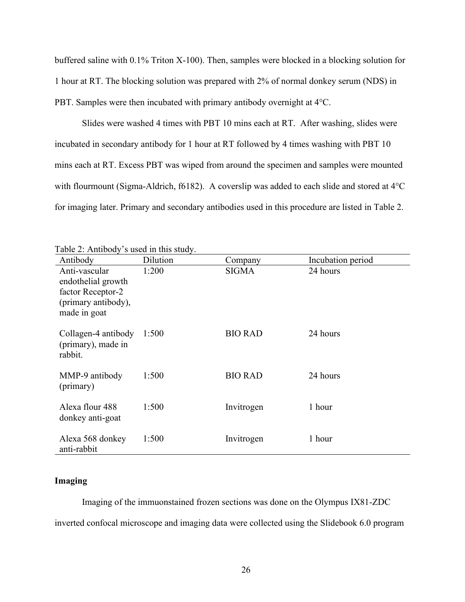buffered saline with 0.1% Triton X-100). Then, samples were blocked in a blocking solution for 1 hour at RT. The blocking solution was prepared with 2% of normal donkey serum (NDS) in PBT. Samples were then incubated with primary antibody overnight at 4°C.

Slides were washed 4 times with PBT 10 mins each at RT. After washing, slides were incubated in secondary antibody for 1 hour at RT followed by 4 times washing with PBT 10 mins each at RT. Excess PBT was wiped from around the specimen and samples were mounted with flourmount (Sigma-Aldrich, f6182). A coverslip was added to each slide and stored at 4°C for imaging later. Primary and secondary antibodies used in this procedure are listed in Table 2.

| Antibody                                                                                        | Dilution | Company        | Incubation period |
|-------------------------------------------------------------------------------------------------|----------|----------------|-------------------|
| Anti-vascular<br>endothelial growth<br>factor Receptor-2<br>(primary antibody),<br>made in goat | 1:200    | <b>SIGMA</b>   | 24 hours          |
| Collagen-4 antibody<br>(primary), made in<br>rabbit.                                            | 1:500    | <b>BIO RAD</b> | 24 hours          |
| MMP-9 antibody<br>(primary)                                                                     | 1:500    | <b>BIO RAD</b> | 24 hours          |
| Alexa flour 488<br>donkey anti-goat                                                             | 1:500    | Invitrogen     | 1 hour            |
| Alexa 568 donkey<br>anti-rabbit                                                                 | 1:500    | Invitrogen     | 1 hour            |

| Table 2: Antibody's used in this study. |  |  |  |
|-----------------------------------------|--|--|--|
|                                         |  |  |  |

#### **Imaging**

Imaging of the immuonstained frozen sections was done on the Olympus IX81-ZDC inverted confocal microscope and imaging data were collected using the Slidebook 6.0 program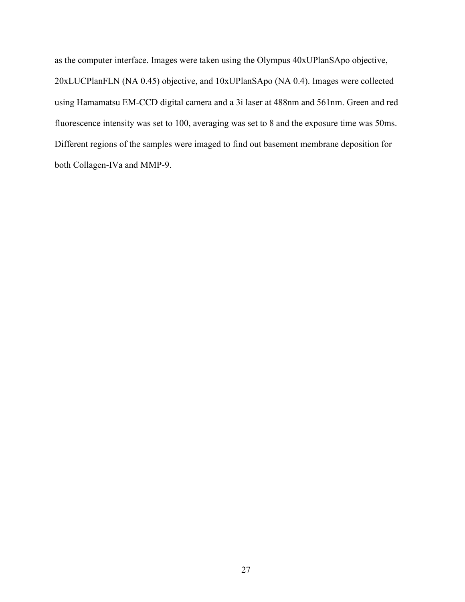as the computer interface. Images were taken using the Olympus 40xUPlanSApo objective, 20xLUCPlanFLN (NA 0.45) objective, and 10xUPlanSApo (NA 0.4). Images were collected using Hamamatsu EM-CCD digital camera and a 3i laser at 488nm and 561nm. Green and red fluorescence intensity was set to 100, averaging was set to 8 and the exposure time was 50ms. Different regions of the samples were imaged to find out basement membrane deposition for both Collagen-IVa and MMP-9.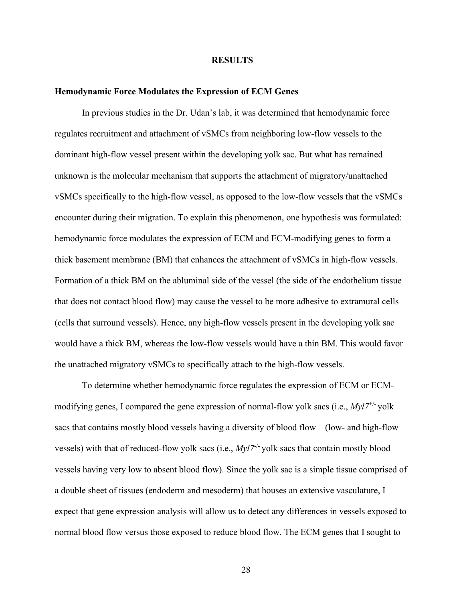#### **RESULTS**

#### **Hemodynamic Force Modulates the Expression of ECM Genes**

In previous studies in the Dr. Udan's lab, it was determined that hemodynamic force regulates recruitment and attachment of vSMCs from neighboring low-flow vessels to the dominant high-flow vessel present within the developing yolk sac. But what has remained unknown is the molecular mechanism that supports the attachment of migratory/unattached vSMCs specifically to the high-flow vessel, as opposed to the low-flow vessels that the vSMCs encounter during their migration. To explain this phenomenon, one hypothesis was formulated: hemodynamic force modulates the expression of ECM and ECM-modifying genes to form a thick basement membrane (BM) that enhances the attachment of vSMCs in high-flow vessels. Formation of a thick BM on the abluminal side of the vessel (the side of the endothelium tissue that does not contact blood flow) may cause the vessel to be more adhesive to extramural cells (cells that surround vessels). Hence, any high-flow vessels present in the developing yolk sac would have a thick BM, whereas the low-flow vessels would have a thin BM. This would favor the unattached migratory vSMCs to specifically attach to the high-flow vessels.

To determine whether hemodynamic force regulates the expression of ECM or ECMmodifying genes, I compared the gene expression of normal-flow yolk sacs (i.e., *Myl7*+/- yolk sacs that contains mostly blood vessels having a diversity of blood flow—(low- and high-flow vessels) with that of reduced-flow yolk sacs (i.e.,  $Myl7^{-/-}$  yolk sacs that contain mostly blood vessels having very low to absent blood flow). Since the yolk sac is a simple tissue comprised of a double sheet of tissues (endoderm and mesoderm) that houses an extensive vasculature, I expect that gene expression analysis will allow us to detect any differences in vessels exposed to normal blood flow versus those exposed to reduce blood flow. The ECM genes that I sought to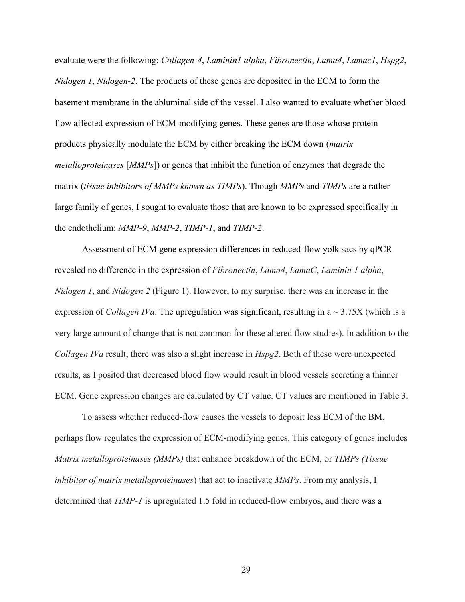evaluate were the following: *Collagen-4*, *Laminin1 alpha*, *Fibronectin*, *Lama4*, *Lamac1*, *Hspg2*, *Nidogen 1*, *Nidogen-2*. The products of these genes are deposited in the ECM to form the basement membrane in the abluminal side of the vessel. I also wanted to evaluate whether blood flow affected expression of ECM-modifying genes. These genes are those whose protein products physically modulate the ECM by either breaking the ECM down (*matrix metalloproteinases* [*MMPs*]) or genes that inhibit the function of enzymes that degrade the matrix (*tissue inhibitors of MMPs known as TIMPs*). Though *MMPs* and *TIMPs* are a rather large family of genes, I sought to evaluate those that are known to be expressed specifically in the endothelium: *MMP-9*, *MMP-2*, *TIMP-1*, and *TIMP-2*.

Assessment of ECM gene expression differences in reduced-flow yolk sacs by qPCR revealed no difference in the expression of *Fibronectin*, *Lama4*, *LamaC*, *Laminin 1 alpha*, *Nidogen 1*, and *Nidogen 2* (Figure 1). However, to my surprise, there was an increase in the expression of *Collagen IVa*. The upregulation was significant, resulting in  $a \sim 3.75X$  (which is a very large amount of change that is not common for these altered flow studies). In addition to the *Collagen IVa* result, there was also a slight increase in *Hspg2*. Both of these were unexpected results, as I posited that decreased blood flow would result in blood vessels secreting a thinner ECM. Gene expression changes are calculated by CT value. CT values are mentioned in Table 3.

To assess whether reduced-flow causes the vessels to deposit less ECM of the BM, perhaps flow regulates the expression of ECM-modifying genes. This category of genes includes *Matrix metalloproteinases (MMPs)* that enhance breakdown of the ECM, or *TIMPs (Tissue inhibitor of matrix metalloproteinases*) that act to inactivate *MMPs*. From my analysis, I determined that *TIMP-1* is upregulated 1.5 fold in reduced-flow embryos, and there was a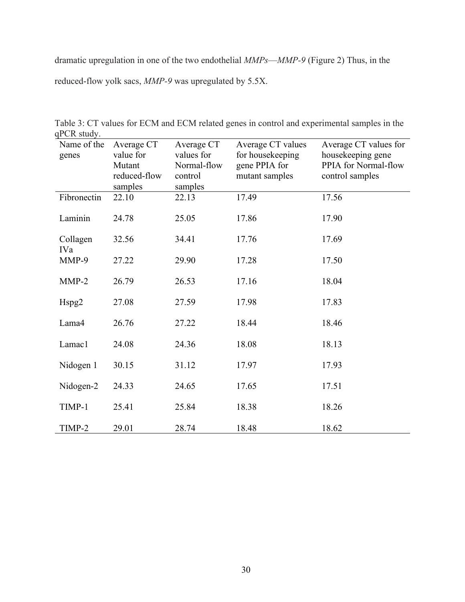dramatic upregulation in one of the two endothelial *MMPs*—*MMP-9* (Figure 2) Thus, in the reduced-flow yolk sacs, *MMP-9* was upregulated by 5.5X.

| Name of the<br>genes | Average CT<br>value for | Average CT<br>values for | Average CT values<br>for housekeeping | Average CT values for<br>housekeeping gene |
|----------------------|-------------------------|--------------------------|---------------------------------------|--------------------------------------------|
|                      | Mutant                  | Normal-flow              | gene PPIA for                         | PPIA for Normal-flow                       |
|                      | reduced-flow            | control                  | mutant samples                        | control samples                            |
|                      | samples                 | samples                  |                                       |                                            |
| Fibronectin          | 22.10                   | 22.13                    | 17.49                                 | 17.56                                      |
| Laminin              | 24.78                   | 25.05                    | 17.86                                 | 17.90                                      |
| Collagen<br>IVa      | 32.56                   | 34.41                    | 17.76                                 | 17.69                                      |
| MMP-9                | 27.22                   | 29.90                    | 17.28                                 | 17.50                                      |
| $MMP-2$              | 26.79                   | 26.53                    | 17.16                                 | 18.04                                      |
| Hspg2                | 27.08                   | 27.59                    | 17.98                                 | 17.83                                      |
| Lama4                | 26.76                   | 27.22                    | 18.44                                 | 18.46                                      |
| Lamac1               | 24.08                   | 24.36                    | 18.08                                 | 18.13                                      |
| Nidogen 1            | 30.15                   | 31.12                    | 17.97                                 | 17.93                                      |
| Nidogen-2            | 24.33                   | 24.65                    | 17.65                                 | 17.51                                      |
| TIMP-1               | 25.41                   | 25.84                    | 18.38                                 | 18.26                                      |
| TIMP-2               | 29.01                   | 28.74                    | 18.48                                 | 18.62                                      |

Table 3: CT values for ECM and ECM related genes in control and experimental samples in the qPCR study.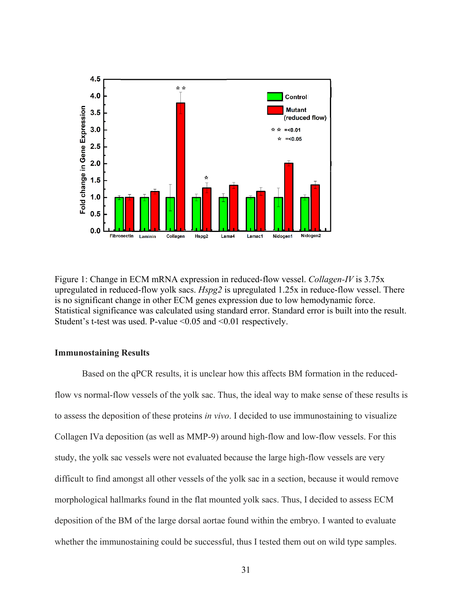

Figure 1: Change in ECM mRNA expression in reduced-flow vessel. *Collagen-IV* is 3.75x upregulated in reduced-flow yolk sacs. *Hspg2* is upregulated 1.25x in reduce-flow vessel. There is no significant change in other ECM genes expression due to low hemodynamic force. Statistical significance was calculated using standard error. Standard error is built into the result. Student's t-test was used. P-value <0.05 and <0.01 respectively.

#### **Immunostaining Results**

Based on the qPCR results, it is unclear how this affects BM formation in the reducedflow vs normal-flow vessels of the yolk sac. Thus, the ideal way to make sense of these results is to assess the deposition of these proteins *in vivo*. I decided to use immunostaining to visualize Collagen IVa deposition (as well as MMP-9) around high-flow and low-flow vessels. For this study, the yolk sac vessels were not evaluated because the large high-flow vessels are very difficult to find amongst all other vessels of the yolk sac in a section, because it would remove morphological hallmarks found in the flat mounted yolk sacs. Thus, I decided to assess ECM deposition of the BM of the large dorsal aortae found within the embryo. I wanted to evaluate whether the immunostaining could be successful, thus I tested them out on wild type samples.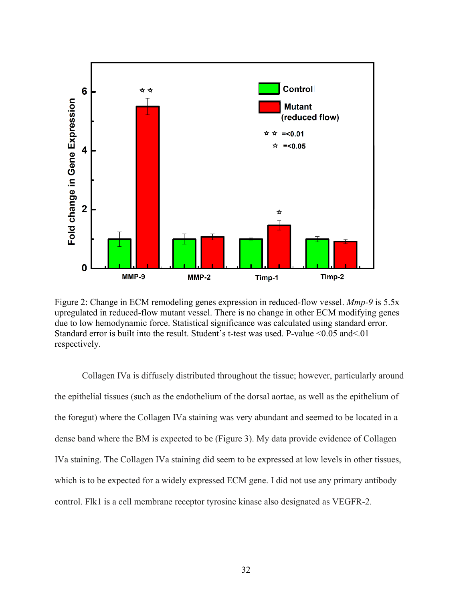

Figure 2: Change in ECM remodeling genes expression in reduced-flow vessel. *Mmp-9* is 5.5x upregulated in reduced-flow mutant vessel. There is no change in other ECM modifying genes due to low hemodynamic force. Statistical significance was calculated using standard error. Standard error is built into the result. Student's t-test was used. P-value <0.05 and<.01 respectively.

Collagen IVa is diffusely distributed throughout the tissue; however, particularly around the epithelial tissues (such as the endothelium of the dorsal aortae, as well as the epithelium of the foregut) where the Collagen IVa staining was very abundant and seemed to be located in a dense band where the BM is expected to be (Figure 3). My data provide evidence of Collagen IVa staining. The Collagen IVa staining did seem to be expressed at low levels in other tissues, which is to be expected for a widely expressed ECM gene. I did not use any primary antibody control. Flk1 is a cell membrane receptor tyrosine kinase also designated as VEGFR-2.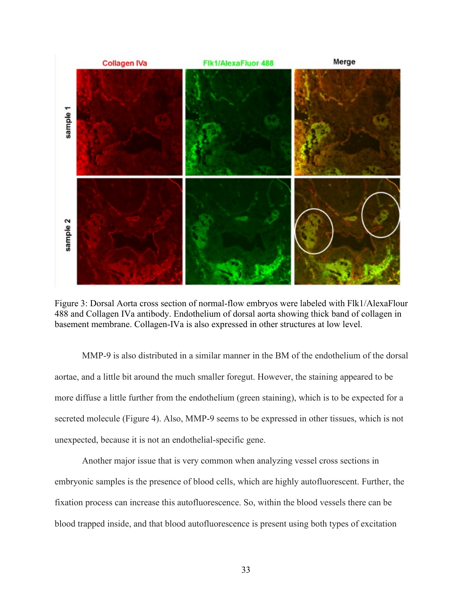

Figure 3: Dorsal Aorta cross section of normal-flow embryos were labeled with Flk1/AlexaFlour 488 and Collagen IVa antibody. Endothelium of dorsal aorta showing thick band of collagen in basement membrane. Collagen-IVa is also expressed in other structures at low level.

MMP-9 is also distributed in a similar manner in the BM of the endothelium of the dorsal aortae, and a little bit around the much smaller foregut. However, the staining appeared to be more diffuse a little further from the endothelium (green staining), which is to be expected for a secreted molecule (Figure 4). Also, MMP-9 seems to be expressed in other tissues, which is not unexpected, because it is not an endothelial-specific gene.

Another major issue that is very common when analyzing vessel cross sections in embryonic samples is the presence of blood cells, which are highly autofluorescent. Further, the fixation process can increase this autofluorescence. So, within the blood vessels there can be blood trapped inside, and that blood autofluorescence is present using both types of excitation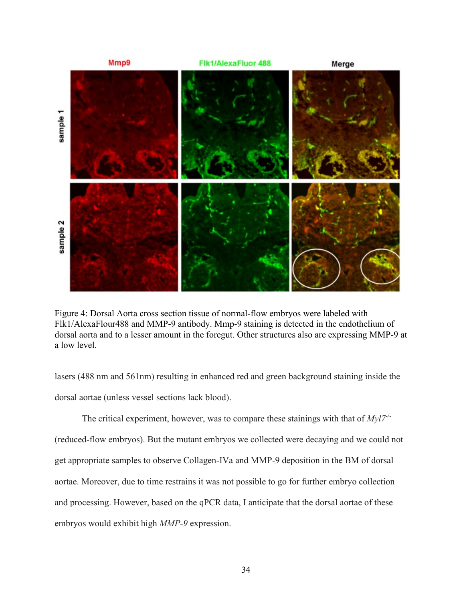

Figure 4: Dorsal Aorta cross section tissue of normal-flow embryos were labeled with Flk1/AlexaFlour488 and MMP-9 antibody. Mmp-9 staining is detected in the endothelium of dorsal aorta and to a lesser amount in the foregut. Other structures also are expressing MMP-9 at a low level.

lasers (488 nm and 561nm) resulting in enhanced red and green background staining inside the dorsal aortae (unless vessel sections lack blood).

The critical experiment, however, was to compare these stainings with that of  $Mvl7^{-1}$ (reduced-flow embryos). But the mutant embryos we collected were decaying and we could not get appropriate samples to observe Collagen-IVa and MMP-9 deposition in the BM of dorsal aortae. Moreover, due to time restrains it was not possible to go for further embryo collection and processing. However, based on the qPCR data, I anticipate that the dorsal aortae of these embryos would exhibit high *MMP-9* expression.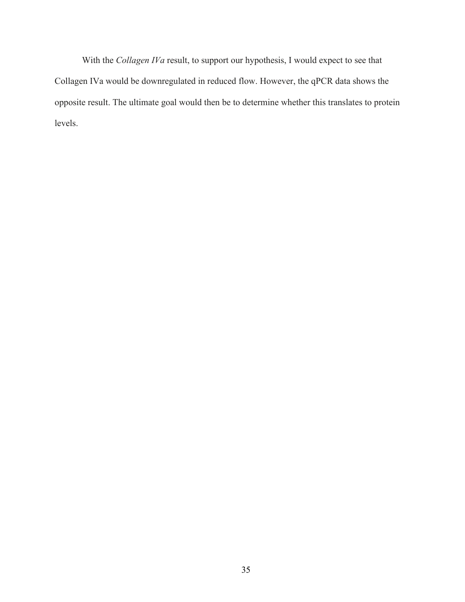With the *Collagen IVa* result, to support our hypothesis, I would expect to see that Collagen IVa would be downregulated in reduced flow. However, the qPCR data shows the opposite result. The ultimate goal would then be to determine whether this translates to protein levels.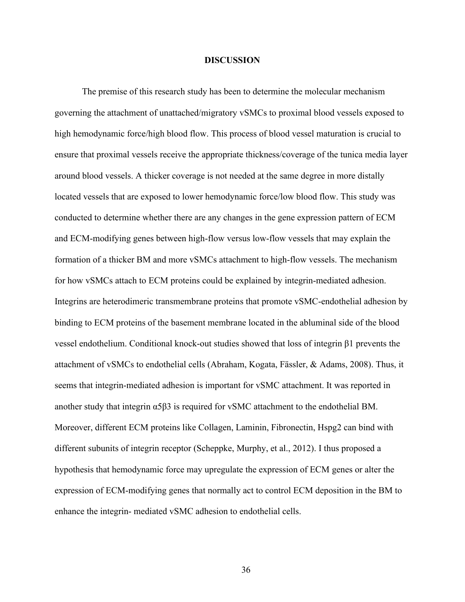#### **DISCUSSION**

The premise of this research study has been to determine the molecular mechanism governing the attachment of unattached/migratory vSMCs to proximal blood vessels exposed to high hemodynamic force/high blood flow. This process of blood vessel maturation is crucial to ensure that proximal vessels receive the appropriate thickness/coverage of the tunica media layer around blood vessels. A thicker coverage is not needed at the same degree in more distally located vessels that are exposed to lower hemodynamic force/low blood flow. This study was conducted to determine whether there are any changes in the gene expression pattern of ECM and ECM-modifying genes between high-flow versus low-flow vessels that may explain the formation of a thicker BM and more vSMCs attachment to high-flow vessels. The mechanism for how vSMCs attach to ECM proteins could be explained by integrin-mediated adhesion. Integrins are heterodimeric transmembrane proteins that promote vSMC-endothelial adhesion by binding to ECM proteins of the basement membrane located in the abluminal side of the blood vessel endothelium. Conditional knock-out studies showed that loss of integrin β1 prevents the attachment of vSMCs to endothelial cells (Abraham, Kogata, Fässler, & Adams, 2008). Thus, it seems that integrin-mediated adhesion is important for vSMC attachment. It was reported in another study that integrin  $\alpha$ 5 $\beta$ 3 is required for vSMC attachment to the endothelial BM. Moreover, different ECM proteins like Collagen, Laminin, Fibronectin, Hspg2 can bind with different subunits of integrin receptor (Scheppke, Murphy, et al., 2012). I thus proposed a hypothesis that hemodynamic force may upregulate the expression of ECM genes or alter the expression of ECM-modifying genes that normally act to control ECM deposition in the BM to enhance the integrin- mediated vSMC adhesion to endothelial cells.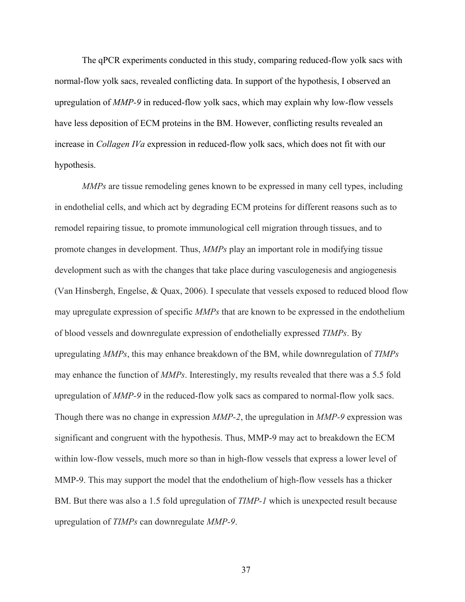The qPCR experiments conducted in this study, comparing reduced-flow yolk sacs with normal-flow yolk sacs, revealed conflicting data. In support of the hypothesis, I observed an upregulation of *MMP-9* in reduced-flow yolk sacs, which may explain why low-flow vessels have less deposition of ECM proteins in the BM. However, conflicting results revealed an increase in *Collagen IVa* expression in reduced-flow yolk sacs, which does not fit with our hypothesis.

*MMPs* are tissue remodeling genes known to be expressed in many cell types, including in endothelial cells, and which act by degrading ECM proteins for different reasons such as to remodel repairing tissue, to promote immunological cell migration through tissues, and to promote changes in development. Thus, *MMPs* play an important role in modifying tissue development such as with the changes that take place during vasculogenesis and angiogenesis (Van Hinsbergh, Engelse, & Quax, 2006). I speculate that vessels exposed to reduced blood flow may upregulate expression of specific *MMPs* that are known to be expressed in the endothelium of blood vessels and downregulate expression of endothelially expressed *TIMPs*. By upregulating *MMPs*, this may enhance breakdown of the BM, while downregulation of *TIMPs* may enhance the function of *MMPs*. Interestingly, my results revealed that there was a 5.5 fold upregulation of *MMP-9* in the reduced-flow yolk sacs as compared to normal-flow yolk sacs. Though there was no change in expression *MMP-2*, the upregulation in *MMP-9* expression was significant and congruent with the hypothesis. Thus, MMP-9 may act to breakdown the ECM within low-flow vessels, much more so than in high-flow vessels that express a lower level of MMP-9. This may support the model that the endothelium of high-flow vessels has a thicker BM. But there was also a 1.5 fold upregulation of *TIMP-1* which is unexpected result because upregulation of *TIMPs* can downregulate *MMP-9*.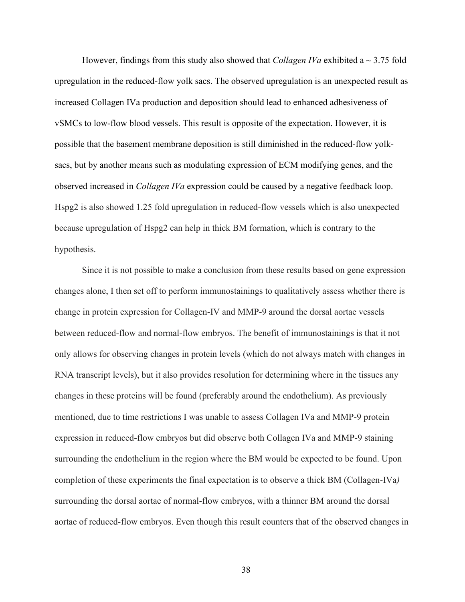However, findings from this study also showed that *Collagen IVa* exhibited a ~ 3.75 fold upregulation in the reduced-flow yolk sacs. The observed upregulation is an unexpected result as increased Collagen IVa production and deposition should lead to enhanced adhesiveness of vSMCs to low-flow blood vessels. This result is opposite of the expectation. However, it is possible that the basement membrane deposition is still diminished in the reduced-flow yolksacs, but by another means such as modulating expression of ECM modifying genes, and the observed increased in *Collagen IVa* expression could be caused by a negative feedback loop. Hspg2 is also showed 1.25 fold upregulation in reduced-flow vessels which is also unexpected because upregulation of Hspg2 can help in thick BM formation, which is contrary to the hypothesis.

Since it is not possible to make a conclusion from these results based on gene expression changes alone, I then set off to perform immunostainings to qualitatively assess whether there is change in protein expression for Collagen-IV and MMP-9 around the dorsal aortae vessels between reduced-flow and normal-flow embryos. The benefit of immunostainings is that it not only allows for observing changes in protein levels (which do not always match with changes in RNA transcript levels), but it also provides resolution for determining where in the tissues any changes in these proteins will be found (preferably around the endothelium). As previously mentioned, due to time restrictions I was unable to assess Collagen IVa and MMP-9 protein expression in reduced-flow embryos but did observe both Collagen IVa and MMP-9 staining surrounding the endothelium in the region where the BM would be expected to be found. Upon completion of these experiments the final expectation is to observe a thick BM (Collagen-IVa*)* surrounding the dorsal aortae of normal-flow embryos, with a thinner BM around the dorsal aortae of reduced-flow embryos. Even though this result counters that of the observed changes in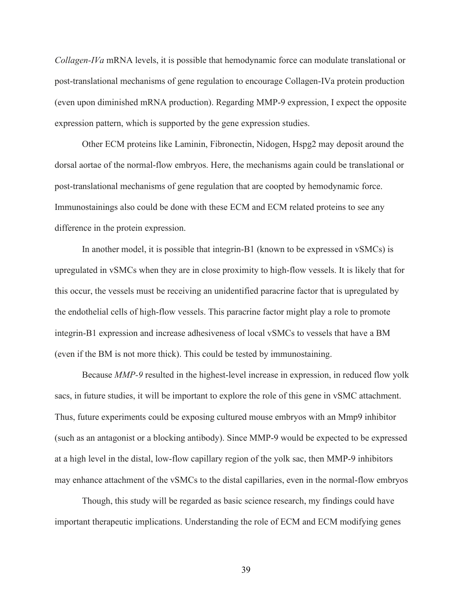*Collagen-IVa* mRNA levels, it is possible that hemodynamic force can modulate translational or post-translational mechanisms of gene regulation to encourage Collagen-IVa protein production (even upon diminished mRNA production). Regarding MMP-9 expression, I expect the opposite expression pattern, which is supported by the gene expression studies.

Other ECM proteins like Laminin, Fibronectin, Nidogen, Hspg2 may deposit around the dorsal aortae of the normal-flow embryos. Here, the mechanisms again could be translational or post-translational mechanisms of gene regulation that are coopted by hemodynamic force. Immunostainings also could be done with these ECM and ECM related proteins to see any difference in the protein expression.

In another model, it is possible that integrin-B1 (known to be expressed in vSMCs) is upregulated in vSMCs when they are in close proximity to high-flow vessels. It is likely that for this occur, the vessels must be receiving an unidentified paracrine factor that is upregulated by the endothelial cells of high-flow vessels. This paracrine factor might play a role to promote integrin-B1 expression and increase adhesiveness of local vSMCs to vessels that have a BM (even if the BM is not more thick). This could be tested by immunostaining.

Because *MMP-9* resulted in the highest-level increase in expression, in reduced flow yolk sacs, in future studies, it will be important to explore the role of this gene in vSMC attachment. Thus, future experiments could be exposing cultured mouse embryos with an Mmp9 inhibitor (such as an antagonist or a blocking antibody). Since MMP-9 would be expected to be expressed at a high level in the distal, low-flow capillary region of the yolk sac, then MMP-9 inhibitors may enhance attachment of the vSMCs to the distal capillaries, even in the normal-flow embryos

Though, this study will be regarded as basic science research, my findings could have important therapeutic implications. Understanding the role of ECM and ECM modifying genes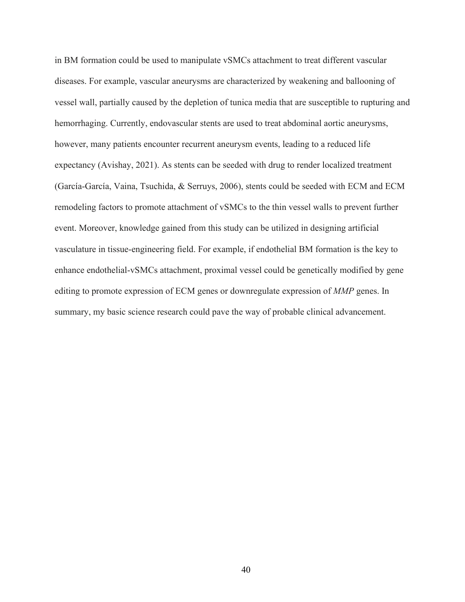in BM formation could be used to manipulate vSMCs attachment to treat different vascular diseases. For example, vascular aneurysms are characterized by weakening and ballooning of vessel wall, partially caused by the depletion of tunica media that are susceptible to rupturing and hemorrhaging. Currently, endovascular stents are used to treat abdominal aortic aneurysms, however, many patients encounter recurrent aneurysm events, leading to a reduced life expectancy (Avishay, 2021). As stents can be seeded with drug to render localized treatment (García-García, Vaina, Tsuchida, & Serruys, 2006), stents could be seeded with ECM and ECM remodeling factors to promote attachment of vSMCs to the thin vessel walls to prevent further event. Moreover, knowledge gained from this study can be utilized in designing artificial vasculature in tissue-engineering field. For example, if endothelial BM formation is the key to enhance endothelial-vSMCs attachment, proximal vessel could be genetically modified by gene editing to promote expression of ECM genes or downregulate expression of *MMP* genes. In summary, my basic science research could pave the way of probable clinical advancement.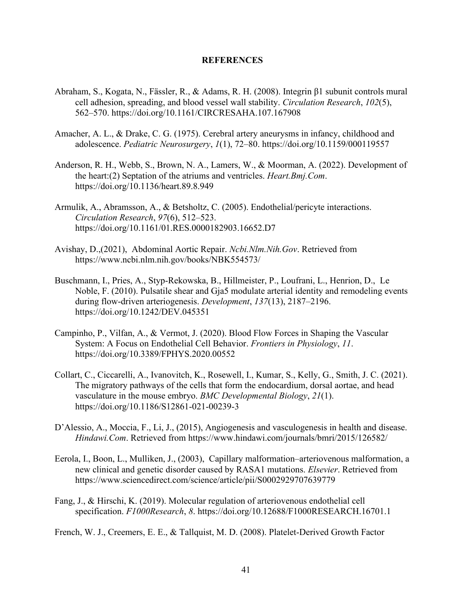#### **REFERENCES**

- Abraham, S., Kogata, N., Fässler, R., & Adams, R. H. (2008). Integrin β1 subunit controls mural cell adhesion, spreading, and blood vessel wall stability. *Circulation Research*, *102*(5), 562–570. https://doi.org/10.1161/CIRCRESAHA.107.167908
- Amacher, A. L., & Drake, C. G. (1975). Cerebral artery aneurysms in infancy, childhood and adolescence. *Pediatric Neurosurgery*, *1*(1), 72–80. https://doi.org/10.1159/000119557
- Anderson, R. H., Webb, S., Brown, N. A., Lamers, W., & Moorman, A. (2022). Development of the heart:(2) Septation of the atriums and ventricles. *Heart.Bmj.Com*. https://doi.org/10.1136/heart.89.8.949
- Armulik, A., Abramsson, A., & Betsholtz, C. (2005). Endothelial/pericyte interactions. *Circulation Research*, *97*(6), 512–523. https://doi.org/10.1161/01.RES.0000182903.16652.D7
- Avishay, D.,(2021), Abdominal Aortic Repair. *Ncbi.Nlm.Nih.Gov*. Retrieved from https://www.ncbi.nlm.nih.gov/books/NBK554573/
- Buschmann, I., Pries, A., Styp-Rekowska, B., Hillmeister, P., Loufrani, L., Henrion, D., Le Noble, F. (2010). Pulsatile shear and Gja5 modulate arterial identity and remodeling events during flow-driven arteriogenesis. *Development*, *137*(13), 2187–2196. https://doi.org/10.1242/DEV.045351
- Campinho, P., Vilfan, A., & Vermot, J. (2020). Blood Flow Forces in Shaping the Vascular System: A Focus on Endothelial Cell Behavior. *Frontiers in Physiology*, *11*. https://doi.org/10.3389/FPHYS.2020.00552
- Collart, C., Ciccarelli, A., Ivanovitch, K., Rosewell, I., Kumar, S., Kelly, G., Smith, J. C. (2021). The migratory pathways of the cells that form the endocardium, dorsal aortae, and head vasculature in the mouse embryo. *BMC Developmental Biology*, *21*(1). https://doi.org/10.1186/S12861-021-00239-3
- D'Alessio, A., Moccia, F., Li, J., (2015), Angiogenesis and vasculogenesis in health and disease. *Hindawi.Com*. Retrieved from https://www.hindawi.com/journals/bmri/2015/126582/
- Eerola, I., Boon, L., Mulliken, J., (2003), Capillary malformation–arteriovenous malformation, a new clinical and genetic disorder caused by RASA1 mutations. *Elsevier*. Retrieved from https://www.sciencedirect.com/science/article/pii/S0002929707639779
- Fang, J., & Hirschi, K. (2019). Molecular regulation of arteriovenous endothelial cell specification. *F1000Research*, *8*. https://doi.org/10.12688/F1000RESEARCH.16701.1

French, W. J., Creemers, E. E., & Tallquist, M. D. (2008). Platelet-Derived Growth Factor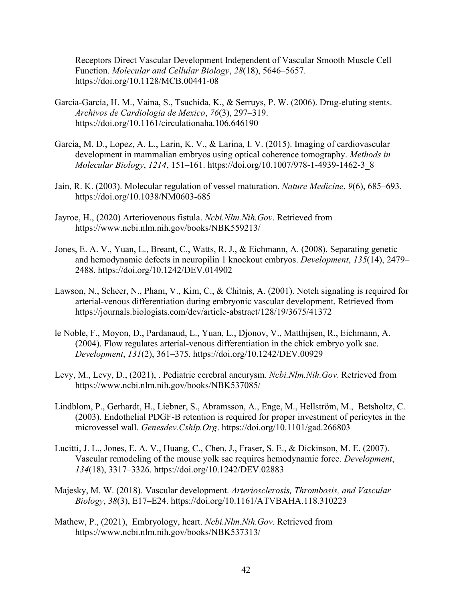Receptors Direct Vascular Development Independent of Vascular Smooth Muscle Cell Function. *Molecular and Cellular Biology*, *28*(18), 5646–5657. https://doi.org/10.1128/MCB.00441-08

- García-García, H. M., Vaina, S., Tsuchida, K., & Serruys, P. W. (2006). Drug-eluting stents. *Archivos de Cardiologia de Mexico*, *76*(3), 297–319. https://doi.org/10.1161/circulationaha.106.646190
- Garcia, M. D., Lopez, A. L., Larin, K. V., & Larina, I. V. (2015). Imaging of cardiovascular development in mammalian embryos using optical coherence tomography. *Methods in Molecular Biology*, *1214*, 151–161. https://doi.org/10.1007/978-1-4939-1462-3\_8
- Jain, R. K. (2003). Molecular regulation of vessel maturation. *Nature Medicine*, *9*(6), 685–693. https://doi.org/10.1038/NM0603-685
- Jayroe, H., (2020) Arteriovenous fistula. *Ncbi.Nlm.Nih.Gov*. Retrieved from https://www.ncbi.nlm.nih.gov/books/NBK559213/
- Jones, E. A. V., Yuan, L., Breant, C., Watts, R. J., & Eichmann, A. (2008). Separating genetic and hemodynamic defects in neuropilin 1 knockout embryos. *Development*, *135*(14), 2479– 2488. https://doi.org/10.1242/DEV.014902
- Lawson, N., Scheer, N., Pham, V., Kim, C., & Chitnis, A. (2001). Notch signaling is required for arterial-venous differentiation during embryonic vascular development. Retrieved from https://journals.biologists.com/dev/article-abstract/128/19/3675/41372
- le Noble, F., Moyon, D., Pardanaud, L., Yuan, L., Djonov, V., Matthijsen, R., Eichmann, A. (2004). Flow regulates arterial-venous differentiation in the chick embryo yolk sac. *Development*, *131*(2), 361–375. https://doi.org/10.1242/DEV.00929
- Levy, M., Levy, D., (2021), . Pediatric cerebral aneurysm. *Ncbi.Nlm.Nih.Gov*. Retrieved from https://www.ncbi.nlm.nih.gov/books/NBK537085/
- Lindblom, P., Gerhardt, H., Liebner, S., Abramsson, A., Enge, M., Hellström, M., Betsholtz, C. (2003). Endothelial PDGF-B retention is required for proper investment of pericytes in the microvessel wall. *Genesdev.Cshlp.Org*. https://doi.org/10.1101/gad.266803
- Lucitti, J. L., Jones, E. A. V., Huang, C., Chen, J., Fraser, S. E., & Dickinson, M. E. (2007). Vascular remodeling of the mouse yolk sac requires hemodynamic force. *Development*, *134*(18), 3317–3326. https://doi.org/10.1242/DEV.02883
- Majesky, M. W. (2018). Vascular development. *Arteriosclerosis, Thrombosis, and Vascular Biology*, *38*(3), E17–E24. https://doi.org/10.1161/ATVBAHA.118.310223
- Mathew, P., (2021), Embryology, heart. *Ncbi.Nlm.Nih.Gov*. Retrieved from https://www.ncbi.nlm.nih.gov/books/NBK537313/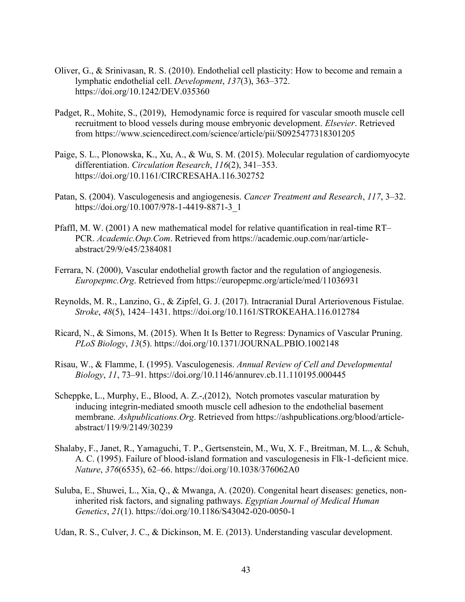- Oliver, G., & Srinivasan, R. S. (2010). Endothelial cell plasticity: How to become and remain a lymphatic endothelial cell. *Development*, *137*(3), 363–372. https://doi.org/10.1242/DEV.035360
- Padget, R., Mohite, S., (2019), Hemodynamic force is required for vascular smooth muscle cell recruitment to blood vessels during mouse embryonic development. *Elsevier*. Retrieved from https://www.sciencedirect.com/science/article/pii/S0925477318301205
- Paige, S. L., Plonowska, K., Xu, A., & Wu, S. M. (2015). Molecular regulation of cardiomyocyte differentiation. *Circulation Research*, *116*(2), 341–353. https://doi.org/10.1161/CIRCRESAHA.116.302752
- Patan, S. (2004). Vasculogenesis and angiogenesis. *Cancer Treatment and Research*, *117*, 3–32. https://doi.org/10.1007/978-1-4419-8871-3\_1
- Pfaffl, M. W. (2001) A new mathematical model for relative quantification in real-time RT– PCR. *Academic.Oup.Com*. Retrieved from https://academic.oup.com/nar/articleabstract/29/9/e45/2384081
- Ferrara, N. (2000), Vascular endothelial growth factor and the regulation of angiogenesis. *Europepmc.Org*. Retrieved from https://europepmc.org/article/med/11036931
- Reynolds, M. R., Lanzino, G., & Zipfel, G. J. (2017). Intracranial Dural Arteriovenous Fistulae. *Stroke*, *48*(5), 1424–1431. https://doi.org/10.1161/STROKEAHA.116.012784
- Ricard, N., & Simons, M. (2015). When It Is Better to Regress: Dynamics of Vascular Pruning. *PLoS Biology*, *13*(5). https://doi.org/10.1371/JOURNAL.PBIO.1002148
- Risau, W., & Flamme, I. (1995). Vasculogenesis. *Annual Review of Cell and Developmental Biology*, *11*, 73–91. https://doi.org/10.1146/annurev.cb.11.110195.000445
- Scheppke, L., Murphy, E., Blood, A. Z.-,(2012), Notch promotes vascular maturation by inducing integrin-mediated smooth muscle cell adhesion to the endothelial basement membrane. *Ashpublications.Org*. Retrieved from https://ashpublications.org/blood/articleabstract/119/9/2149/30239
- Shalaby, F., Janet, R., Yamaguchi, T. P., Gertsenstein, M., Wu, X. F., Breitman, M. L., & Schuh, A. C. (1995). Failure of blood-island formation and vasculogenesis in Flk-1-deficient mice. *Nature*, *376*(6535), 62–66. https://doi.org/10.1038/376062A0
- Suluba, E., Shuwei, L., Xia, Q., & Mwanga, A. (2020). Congenital heart diseases: genetics, noninherited risk factors, and signaling pathways. *Egyptian Journal of Medical Human Genetics*, *21*(1). https://doi.org/10.1186/S43042-020-0050-1

Udan, R. S., Culver, J. C., & Dickinson, M. E. (2013). Understanding vascular development.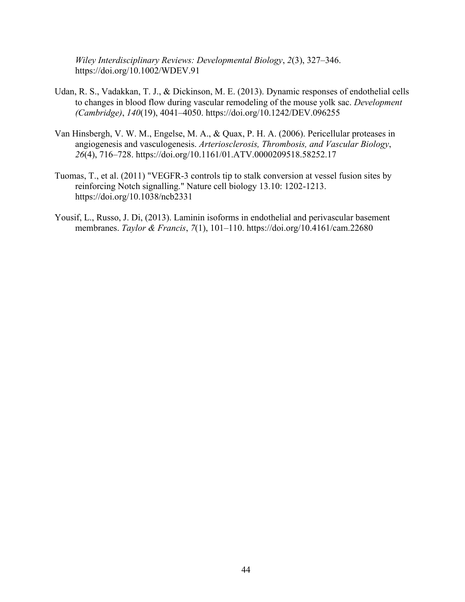*Wiley Interdisciplinary Reviews: Developmental Biology*, *2*(3), 327–346. https://doi.org/10.1002/WDEV.91

- Udan, R. S., Vadakkan, T. J., & Dickinson, M. E. (2013). Dynamic responses of endothelial cells to changes in blood flow during vascular remodeling of the mouse yolk sac. *Development (Cambridge)*, *140*(19), 4041–4050. https://doi.org/10.1242/DEV.096255
- Van Hinsbergh, V. W. M., Engelse, M. A., & Quax, P. H. A. (2006). Pericellular proteases in angiogenesis and vasculogenesis. *Arteriosclerosis, Thrombosis, and Vascular Biology*, *26*(4), 716–728. https://doi.org/10.1161/01.ATV.0000209518.58252.17
- Tuomas, T., et al. (2011) "VEGFR-3 controls tip to stalk conversion at vessel fusion sites by reinforcing Notch signalling." Nature cell biology 13.10: 1202-1213. https://doi.org/10.1038/ncb2331
- Yousif, L., Russo, J. Di, (2013). Laminin isoforms in endothelial and perivascular basement membranes. *Taylor & Francis*, *7*(1), 101–110. https://doi.org/10.4161/cam.22680